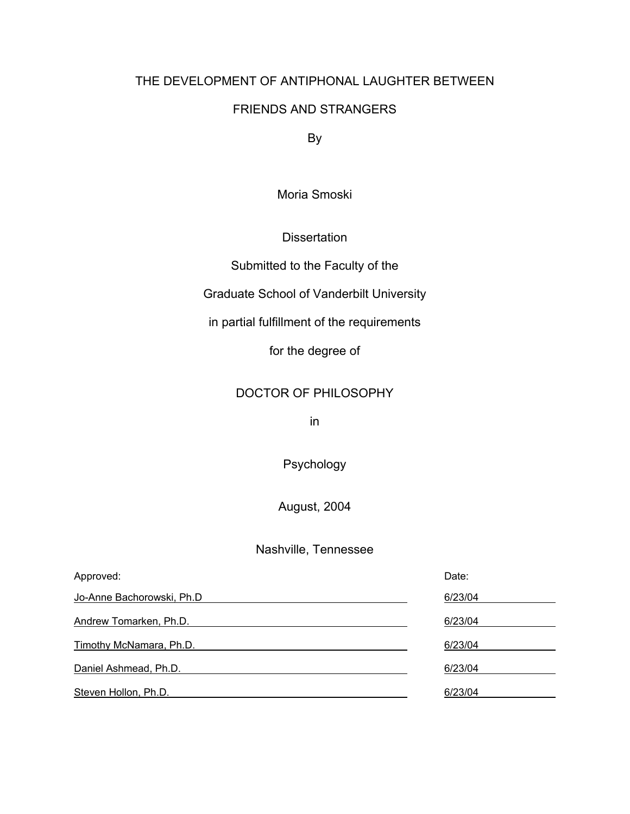## THE DEVELOPMENT OF ANTIPHONAL LAUGHTER BETWEEN

## FRIENDS AND STRANGERS

By

Moria Smoski

#### **Dissertation**

Submitted to the Faculty of the

Graduate School of Vanderbilt University

in partial fulfillment of the requirements

for the degree of

## DOCTOR OF PHILOSOPHY

in

Psychology

August, 2004

### Nashville, Tennessee

| Approved:                 | Date:   |
|---------------------------|---------|
| Jo-Anne Bachorowski, Ph.D | 6/23/04 |
| Andrew Tomarken, Ph.D.    | 6/23/04 |
| Timothy McNamara, Ph.D.   | 6/23/04 |
| Daniel Ashmead, Ph.D.     | 6/23/04 |
| Steven Hollon, Ph.D.      | 6/23/04 |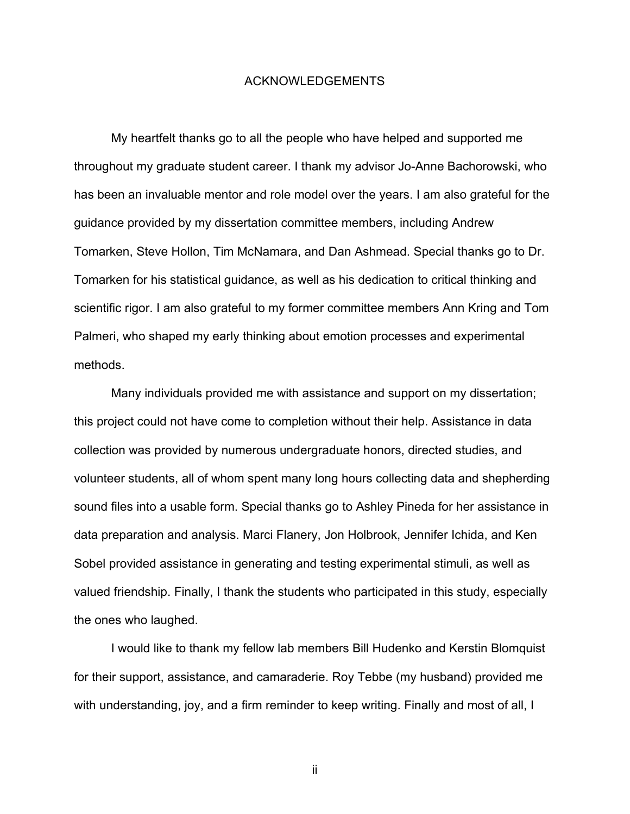#### ACKNOWLEDGEMENTS

My heartfelt thanks go to all the people who have helped and supported me throughout my graduate student career. I thank my advisor Jo-Anne Bachorowski, who has been an invaluable mentor and role model over the years. I am also grateful for the guidance provided by my dissertation committee members, including Andrew Tomarken, Steve Hollon, Tim McNamara, and Dan Ashmead. Special thanks go to Dr. Tomarken for his statistical guidance, as well as his dedication to critical thinking and scientific rigor. I am also grateful to my former committee members Ann Kring and Tom Palmeri, who shaped my early thinking about emotion processes and experimental methods.

Many individuals provided me with assistance and support on my dissertation; this project could not have come to completion without their help. Assistance in data collection was provided by numerous undergraduate honors, directed studies, and volunteer students, all of whom spent many long hours collecting data and shepherding sound files into a usable form. Special thanks go to Ashley Pineda for her assistance in data preparation and analysis. Marci Flanery, Jon Holbrook, Jennifer Ichida, and Ken Sobel provided assistance in generating and testing experimental stimuli, as well as valued friendship. Finally, I thank the students who participated in this study, especially the ones who laughed.

I would like to thank my fellow lab members Bill Hudenko and Kerstin Blomquist for their support, assistance, and camaraderie. Roy Tebbe (my husband) provided me with understanding, joy, and a firm reminder to keep writing. Finally and most of all, I

ii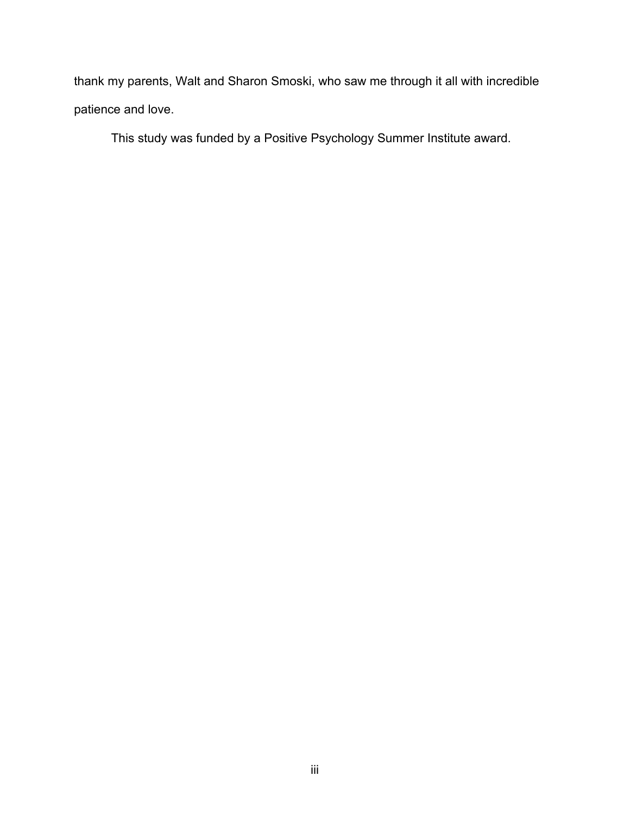thank my parents, Walt and Sharon Smoski, who saw me through it all with incredible patience and love.

This study was funded by a Positive Psychology Summer Institute award.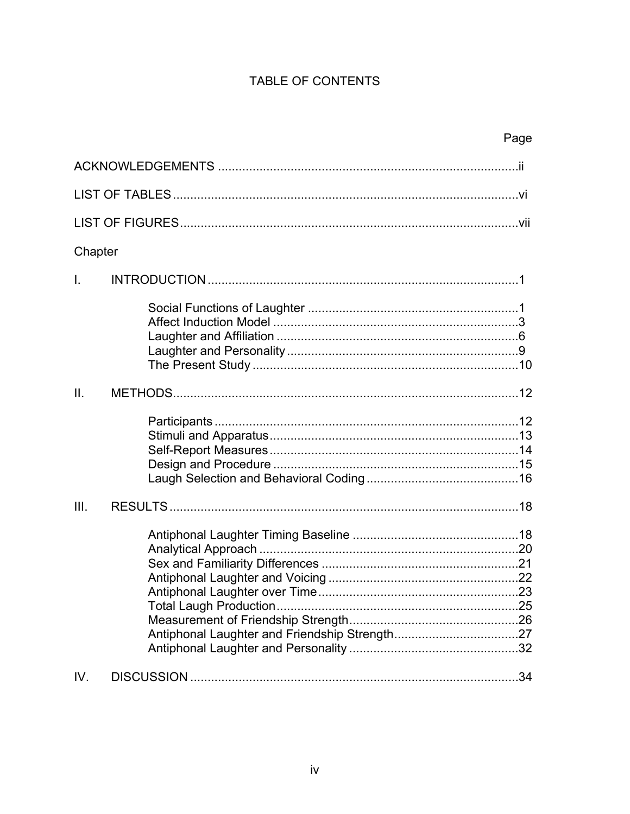## TABLE OF CONTENTS

|                 | Page |
|-----------------|------|
|                 |      |
|                 |      |
|                 |      |
| Chapter         |      |
| $\mathbf{L}$    |      |
|                 |      |
| $\mathbf{II}$ . |      |
|                 |      |
| III.            |      |
|                 |      |
| IV.             | .34  |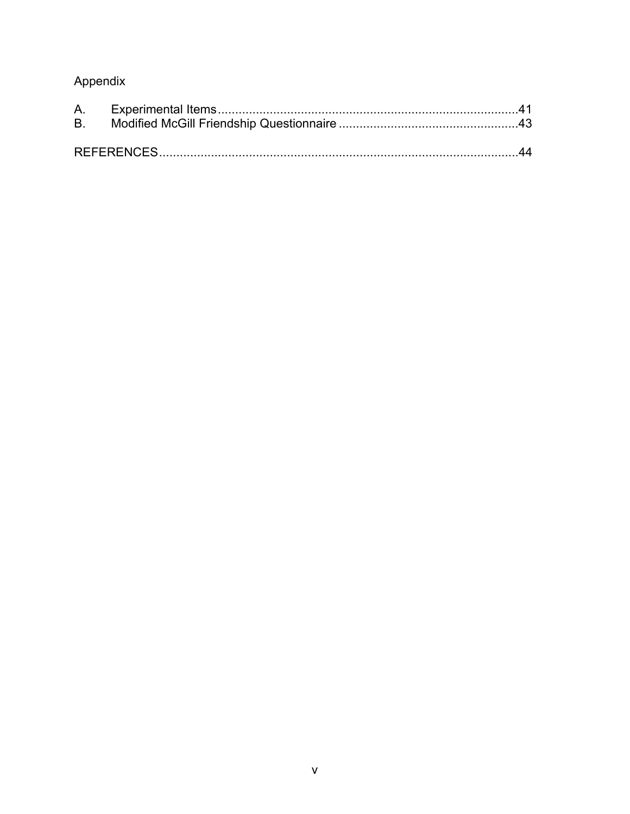# Appendix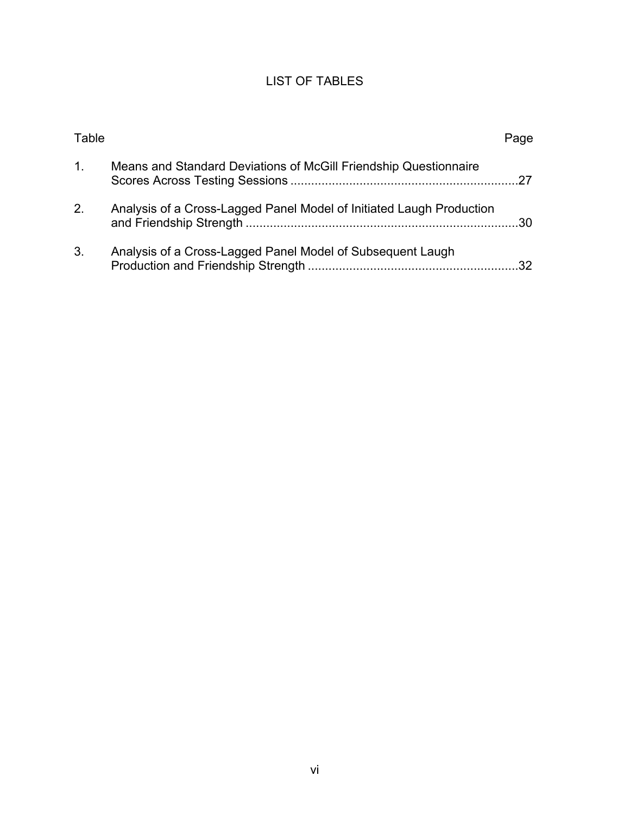## LIST OF TABLES

| Table   |                                                                      | Page |
|---------|----------------------------------------------------------------------|------|
| $1_{-}$ | Means and Standard Deviations of McGill Friendship Questionnaire     |      |
| 2.      | Analysis of a Cross-Lagged Panel Model of Initiated Laugh Production | .30  |
| 3.      | Analysis of a Cross-Lagged Panel Model of Subsequent Laugh           |      |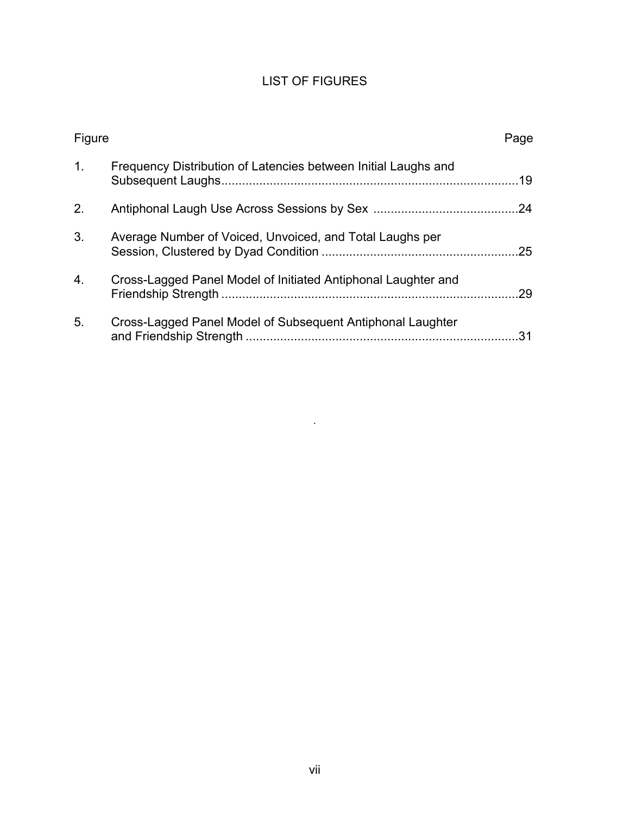## LIST OF FIGURES

| Figure         |                                                                | Page |
|----------------|----------------------------------------------------------------|------|
| $\mathbf{1}$ . | Frequency Distribution of Latencies between Initial Laughs and | 19   |
| 2.             |                                                                | .24  |
| 3.             | Average Number of Voiced, Unvoiced, and Total Laughs per       | .25  |
| 4.             | Cross-Lagged Panel Model of Initiated Antiphonal Laughter and  | 29   |
| 5.             | Cross-Lagged Panel Model of Subsequent Antiphonal Laughter     | 31   |

.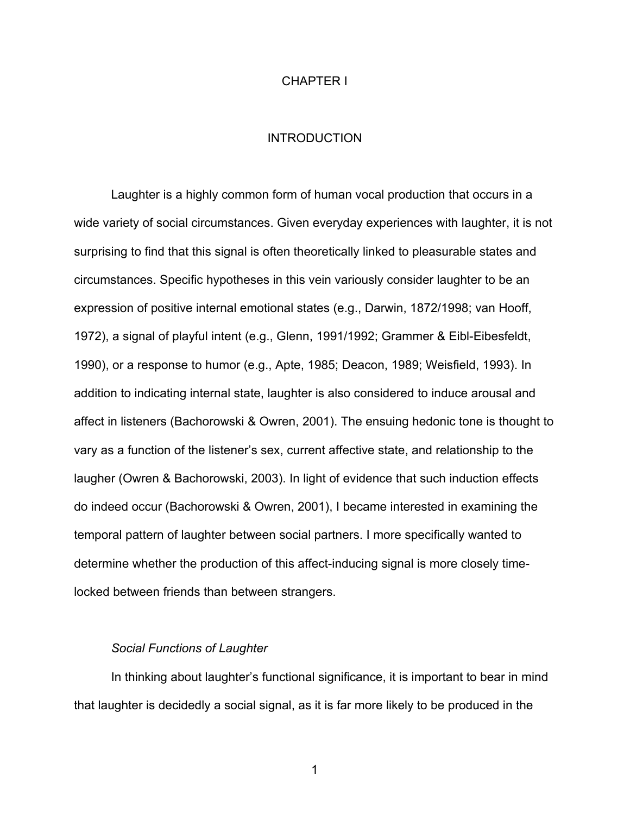#### CHAPTER I

#### **INTRODUCTION**

Laughter is a highly common form of human vocal production that occurs in a wide variety of social circumstances. Given everyday experiences with laughter, it is not surprising to find that this signal is often theoretically linked to pleasurable states and circumstances. Specific hypotheses in this vein variously consider laughter to be an expression of positive internal emotional states (e.g., Darwin, 1872/1998; van Hooff, 1972), a signal of playful intent (e.g., Glenn, 1991/1992; Grammer & Eibl-Eibesfeldt, 1990), or a response to humor (e.g., Apte, 1985; Deacon, 1989; Weisfield, 1993). In addition to indicating internal state, laughter is also considered to induce arousal and affect in listeners (Bachorowski & Owren, 2001). The ensuing hedonic tone is thought to vary as a function of the listener's sex, current affective state, and relationship to the laugher (Owren & Bachorowski, 2003). In light of evidence that such induction effects do indeed occur (Bachorowski & Owren, 2001), I became interested in examining the temporal pattern of laughter between social partners. I more specifically wanted to determine whether the production of this affect-inducing signal is more closely timelocked between friends than between strangers.

#### *Social Functions of Laughter*

In thinking about laughter's functional significance, it is important to bear in mind that laughter is decidedly a social signal, as it is far more likely to be produced in the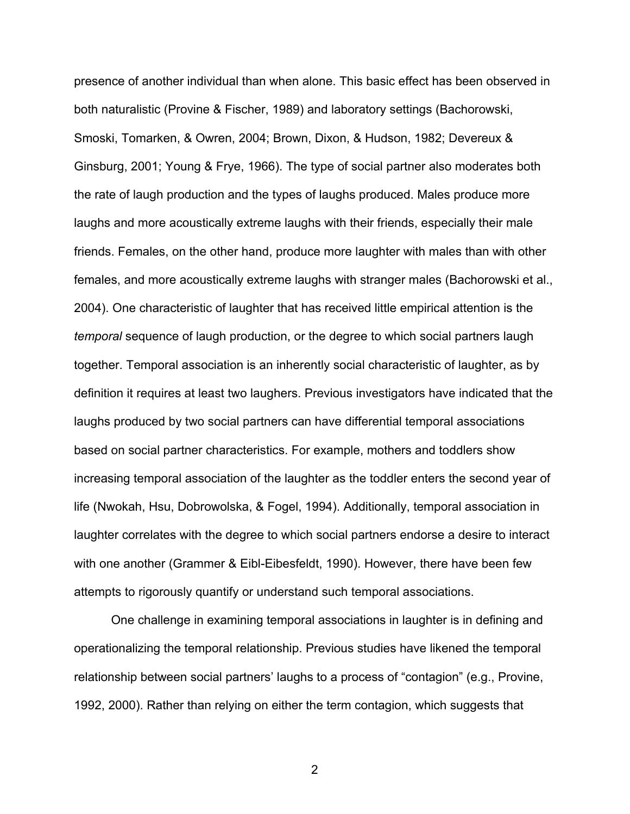presence of another individual than when alone. This basic effect has been observed in both naturalistic (Provine & Fischer, 1989) and laboratory settings (Bachorowski, Smoski, Tomarken, & Owren, 2004; Brown, Dixon, & Hudson, 1982; Devereux & Ginsburg, 2001; Young & Frye, 1966). The type of social partner also moderates both the rate of laugh production and the types of laughs produced. Males produce more laughs and more acoustically extreme laughs with their friends, especially their male friends. Females, on the other hand, produce more laughter with males than with other females, and more acoustically extreme laughs with stranger males (Bachorowski et al., 2004). One characteristic of laughter that has received little empirical attention is the *temporal* sequence of laugh production, or the degree to which social partners laugh together. Temporal association is an inherently social characteristic of laughter, as by definition it requires at least two laughers. Previous investigators have indicated that the laughs produced by two social partners can have differential temporal associations based on social partner characteristics. For example, mothers and toddlers show increasing temporal association of the laughter as the toddler enters the second year of life (Nwokah, Hsu, Dobrowolska, & Fogel, 1994). Additionally, temporal association in laughter correlates with the degree to which social partners endorse a desire to interact with one another (Grammer & Eibl-Eibesfeldt, 1990). However, there have been few attempts to rigorously quantify or understand such temporal associations.

One challenge in examining temporal associations in laughter is in defining and operationalizing the temporal relationship. Previous studies have likened the temporal relationship between social partners' laughs to a process of "contagion" (e.g., Provine, 1992, 2000). Rather than relying on either the term contagion, which suggests that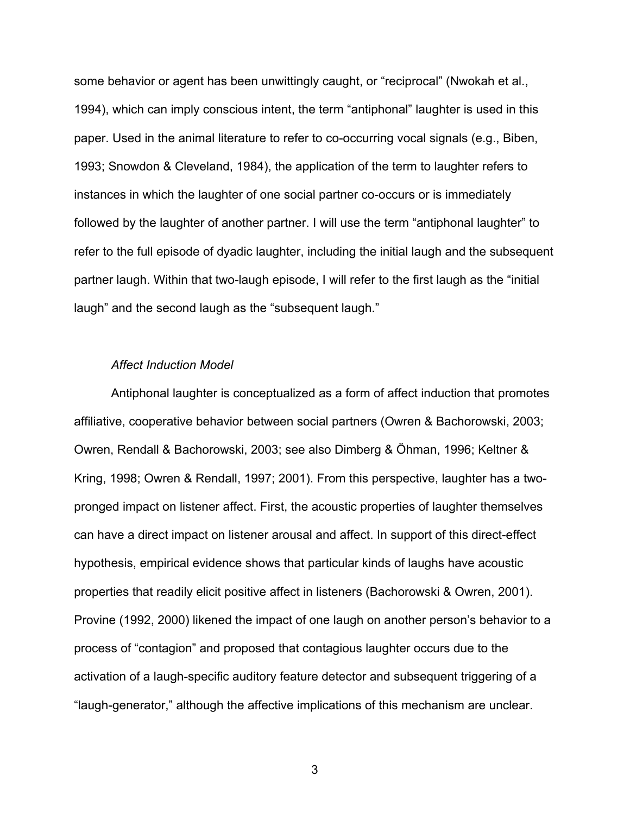some behavior or agent has been unwittingly caught, or "reciprocal" (Nwokah et al., 1994), which can imply conscious intent, the term "antiphonal" laughter is used in this paper. Used in the animal literature to refer to co-occurring vocal signals (e.g., Biben, 1993; Snowdon & Cleveland, 1984), the application of the term to laughter refers to instances in which the laughter of one social partner co-occurs or is immediately followed by the laughter of another partner. I will use the term "antiphonal laughter" to refer to the full episode of dyadic laughter, including the initial laugh and the subsequent partner laugh. Within that two-laugh episode, I will refer to the first laugh as the "initial laugh" and the second laugh as the "subsequent laugh."

#### *Affect Induction Model*

Antiphonal laughter is conceptualized as a form of affect induction that promotes affiliative, cooperative behavior between social partners (Owren & Bachorowski, 2003; Owren, Rendall & Bachorowski, 2003; see also Dimberg & Öhman, 1996; Keltner & Kring, 1998; Owren & Rendall, 1997; 2001). From this perspective, laughter has a twopronged impact on listener affect. First, the acoustic properties of laughter themselves can have a direct impact on listener arousal and affect. In support of this direct-effect hypothesis, empirical evidence shows that particular kinds of laughs have acoustic properties that readily elicit positive affect in listeners (Bachorowski & Owren, 2001). Provine (1992, 2000) likened the impact of one laugh on another person's behavior to a process of "contagion" and proposed that contagious laughter occurs due to the activation of a laugh-specific auditory feature detector and subsequent triggering of a "laugh-generator," although the affective implications of this mechanism are unclear.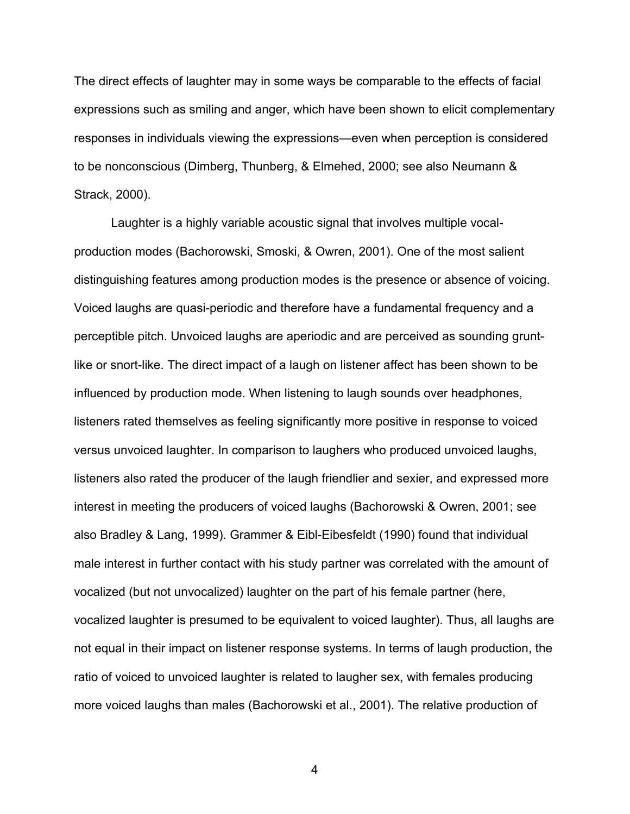The direct effects of laughter may in some ways be comparable to the effects of facial expressions such as smiling and anger, which have been shown to elicit complementary responses in individuals viewing the expressions—even when perception is considered to be nonconscious (Dimberg, Thunberg, & Elmehed, 2000; see also Neumann & Strack, 2000).

Laughter is a highly variable acoustic signal that involves multiple vocalproduction modes (Bachorowski, Smoski, & Owren, 2001). One of the most salient distinguishing features among production modes is the presence or absence of voicing. Voiced laughs are quasi-periodic and therefore have a fundamental frequency and a perceptible pitch. Unvoiced laughs are aperiodic and are perceived as sounding gruntlike or snort-like. The direct impact of a laugh on listener affect has been shown to be influenced by production mode. When listening to laugh sounds over headphones, listeners rated themselves as feeling significantly more positive in response to voiced versus unvoiced laughter. In comparison to laughers who produced unvoiced laughs, listeners also rated the producer of the laugh friendlier and sexier, and expressed more interest in meeting the producers of voiced laughs (Bachorowski & Owren, 2001; see also Bradley & Lang, 1999). Grammer & Eibl-Eibesfeldt (1990) found that individual male interest in further contact with his study partner was correlated with the amount of vocalized (but not unvocalized) laughter on the part of his female partner (here, vocalized laughter is presumed to be equivalent to voiced laughter). Thus, all laughs are not equal in their impact on listener response systems. In terms of laugh production, the ratio of voiced to unvoiced laughter is related to laugher sex, with females producing more voiced laughs than males (Bachorowski et al., 2001). The relative production of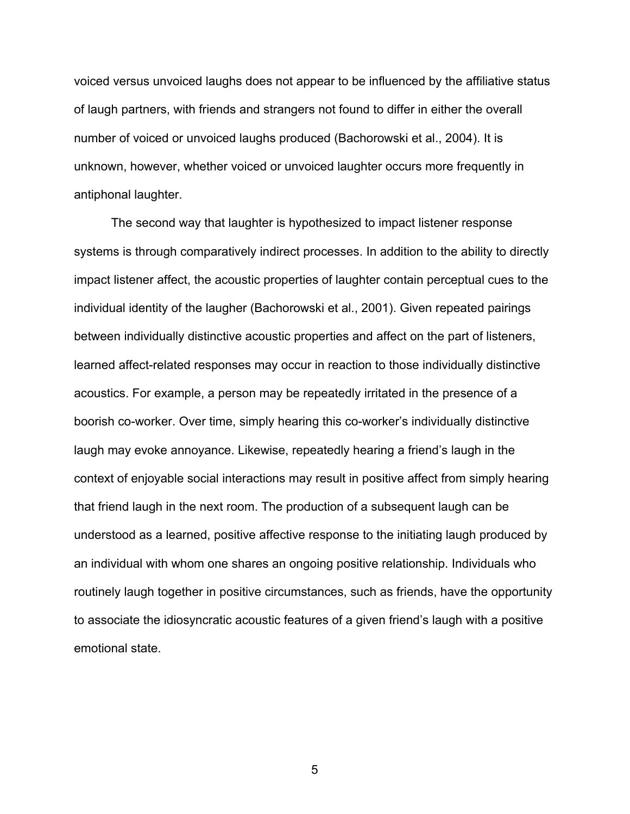voiced versus unvoiced laughs does not appear to be influenced by the affiliative status of laugh partners, with friends and strangers not found to differ in either the overall number of voiced or unvoiced laughs produced (Bachorowski et al., 2004). It is unknown, however, whether voiced or unvoiced laughter occurs more frequently in antiphonal laughter.

The second way that laughter is hypothesized to impact listener response systems is through comparatively indirect processes. In addition to the ability to directly impact listener affect, the acoustic properties of laughter contain perceptual cues to the individual identity of the laugher (Bachorowski et al., 2001). Given repeated pairings between individually distinctive acoustic properties and affect on the part of listeners, learned affect-related responses may occur in reaction to those individually distinctive acoustics. For example, a person may be repeatedly irritated in the presence of a boorish co-worker. Over time, simply hearing this co-worker's individually distinctive laugh may evoke annoyance. Likewise, repeatedly hearing a friend's laugh in the context of enjoyable social interactions may result in positive affect from simply hearing that friend laugh in the next room. The production of a subsequent laugh can be understood as a learned, positive affective response to the initiating laugh produced by an individual with whom one shares an ongoing positive relationship. Individuals who routinely laugh together in positive circumstances, such as friends, have the opportunity to associate the idiosyncratic acoustic features of a given friend's laugh with a positive emotional state.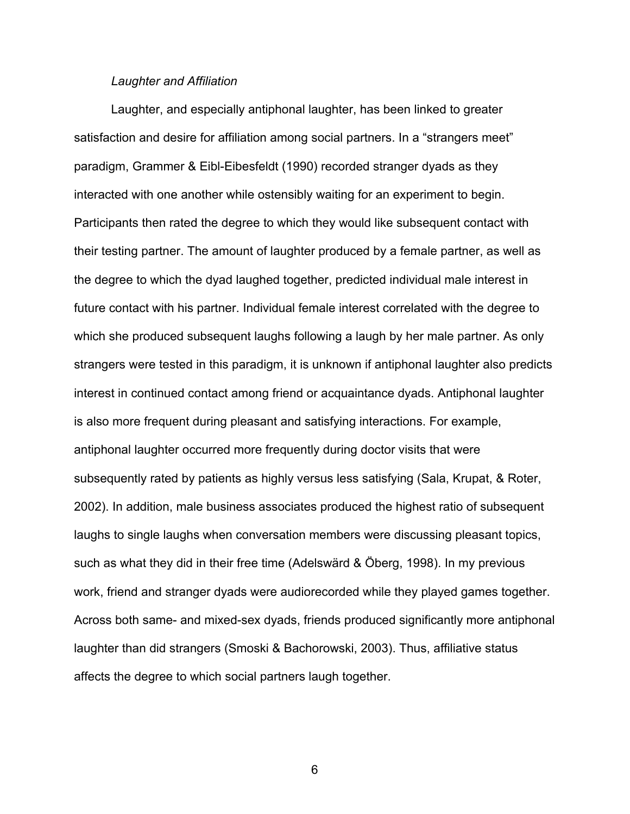#### *Laughter and Affiliation*

Laughter, and especially antiphonal laughter, has been linked to greater satisfaction and desire for affiliation among social partners. In a "strangers meet" paradigm, Grammer & Eibl-Eibesfeldt (1990) recorded stranger dyads as they interacted with one another while ostensibly waiting for an experiment to begin. Participants then rated the degree to which they would like subsequent contact with their testing partner. The amount of laughter produced by a female partner, as well as the degree to which the dyad laughed together, predicted individual male interest in future contact with his partner. Individual female interest correlated with the degree to which she produced subsequent laughs following a laugh by her male partner. As only strangers were tested in this paradigm, it is unknown if antiphonal laughter also predicts interest in continued contact among friend or acquaintance dyads. Antiphonal laughter is also more frequent during pleasant and satisfying interactions. For example, antiphonal laughter occurred more frequently during doctor visits that were subsequently rated by patients as highly versus less satisfying (Sala, Krupat, & Roter, 2002). In addition, male business associates produced the highest ratio of subsequent laughs to single laughs when conversation members were discussing pleasant topics, such as what they did in their free time (Adelswärd & Öberg, 1998). In my previous work, friend and stranger dyads were audiorecorded while they played games together. Across both same- and mixed-sex dyads, friends produced significantly more antiphonal laughter than did strangers (Smoski & Bachorowski, 2003). Thus, affiliative status affects the degree to which social partners laugh together.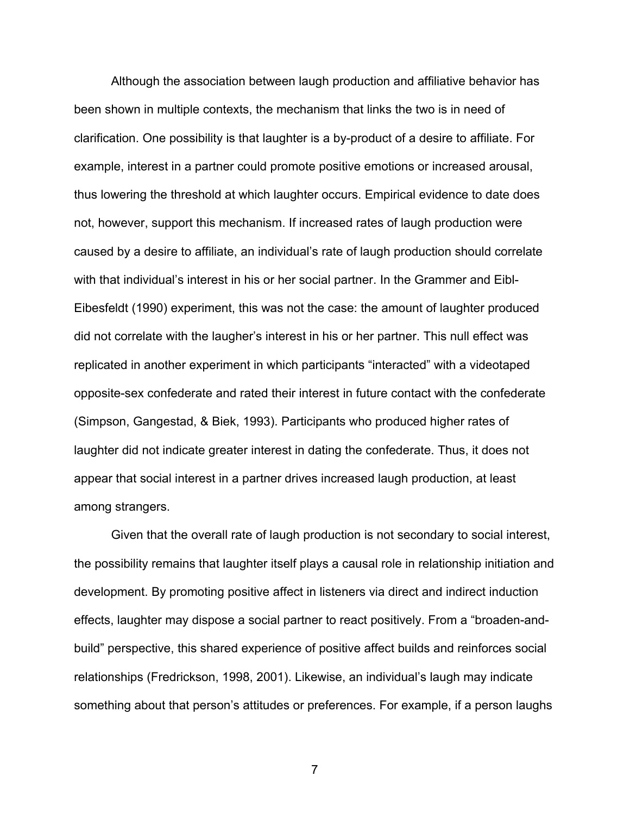Although the association between laugh production and affiliative behavior has been shown in multiple contexts, the mechanism that links the two is in need of clarification. One possibility is that laughter is a by-product of a desire to affiliate. For example, interest in a partner could promote positive emotions or increased arousal, thus lowering the threshold at which laughter occurs. Empirical evidence to date does not, however, support this mechanism. If increased rates of laugh production were caused by a desire to affiliate, an individual's rate of laugh production should correlate with that individual's interest in his or her social partner. In the Grammer and Eibl-Eibesfeldt (1990) experiment, this was not the case: the amount of laughter produced did not correlate with the laugher's interest in his or her partner. This null effect was replicated in another experiment in which participants "interacted" with a videotaped opposite-sex confederate and rated their interest in future contact with the confederate (Simpson, Gangestad, & Biek, 1993). Participants who produced higher rates of laughter did not indicate greater interest in dating the confederate. Thus, it does not appear that social interest in a partner drives increased laugh production, at least among strangers.

Given that the overall rate of laugh production is not secondary to social interest, the possibility remains that laughter itself plays a causal role in relationship initiation and development. By promoting positive affect in listeners via direct and indirect induction effects, laughter may dispose a social partner to react positively. From a "broaden-andbuild" perspective, this shared experience of positive affect builds and reinforces social relationships (Fredrickson, 1998, 2001). Likewise, an individual's laugh may indicate something about that person's attitudes or preferences. For example, if a person laughs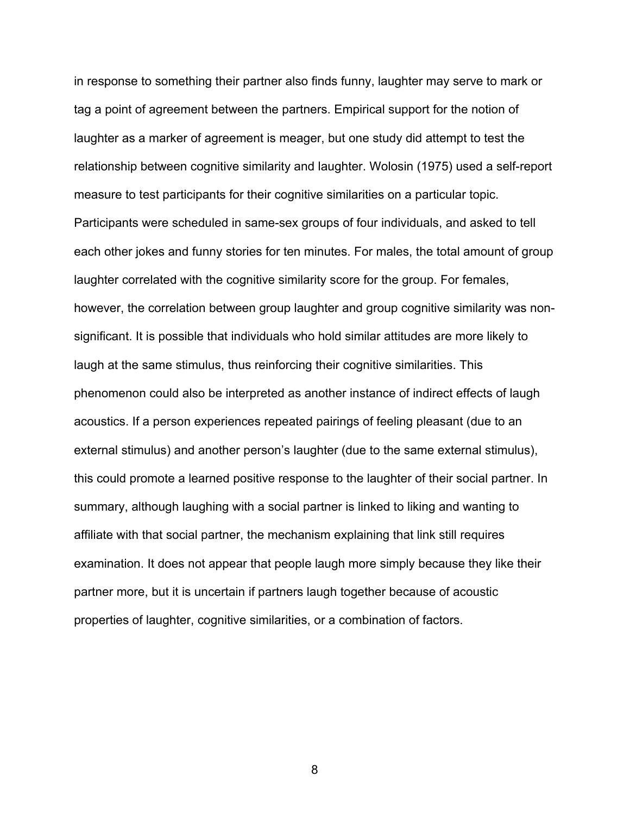in response to something their partner also finds funny, laughter may serve to mark or tag a point of agreement between the partners. Empirical support for the notion of laughter as a marker of agreement is meager, but one study did attempt to test the relationship between cognitive similarity and laughter. Wolosin (1975) used a self-report measure to test participants for their cognitive similarities on a particular topic. Participants were scheduled in same-sex groups of four individuals, and asked to tell each other jokes and funny stories for ten minutes. For males, the total amount of group laughter correlated with the cognitive similarity score for the group. For females, however, the correlation between group laughter and group cognitive similarity was nonsignificant. It is possible that individuals who hold similar attitudes are more likely to laugh at the same stimulus, thus reinforcing their cognitive similarities. This phenomenon could also be interpreted as another instance of indirect effects of laugh acoustics. If a person experiences repeated pairings of feeling pleasant (due to an external stimulus) and another person's laughter (due to the same external stimulus), this could promote a learned positive response to the laughter of their social partner. In summary, although laughing with a social partner is linked to liking and wanting to affiliate with that social partner, the mechanism explaining that link still requires examination. It does not appear that people laugh more simply because they like their partner more, but it is uncertain if partners laugh together because of acoustic properties of laughter, cognitive similarities, or a combination of factors.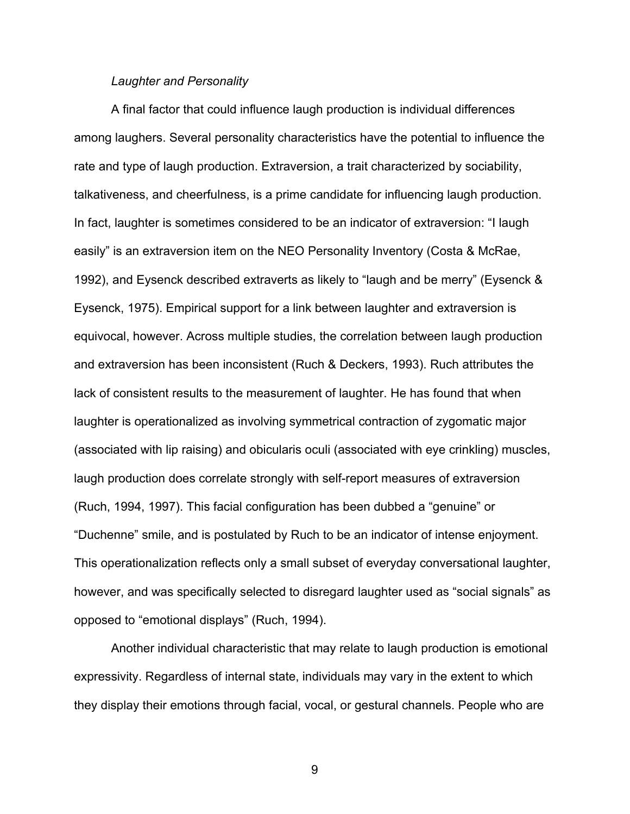#### *Laughter and Personality*

A final factor that could influence laugh production is individual differences among laughers. Several personality characteristics have the potential to influence the rate and type of laugh production. Extraversion, a trait characterized by sociability, talkativeness, and cheerfulness, is a prime candidate for influencing laugh production. In fact, laughter is sometimes considered to be an indicator of extraversion: "I laugh easily" is an extraversion item on the NEO Personality Inventory (Costa & McRae, 1992), and Eysenck described extraverts as likely to "laugh and be merry" (Eysenck & Eysenck, 1975). Empirical support for a link between laughter and extraversion is equivocal, however. Across multiple studies, the correlation between laugh production and extraversion has been inconsistent (Ruch & Deckers, 1993). Ruch attributes the lack of consistent results to the measurement of laughter. He has found that when laughter is operationalized as involving symmetrical contraction of zygomatic major (associated with lip raising) and obicularis oculi (associated with eye crinkling) muscles, laugh production does correlate strongly with self-report measures of extraversion (Ruch, 1994, 1997). This facial configuration has been dubbed a "genuine" or "Duchenne" smile, and is postulated by Ruch to be an indicator of intense enjoyment. This operationalization reflects only a small subset of everyday conversational laughter, however, and was specifically selected to disregard laughter used as "social signals" as opposed to "emotional displays" (Ruch, 1994).

Another individual characteristic that may relate to laugh production is emotional expressivity. Regardless of internal state, individuals may vary in the extent to which they display their emotions through facial, vocal, or gestural channels. People who are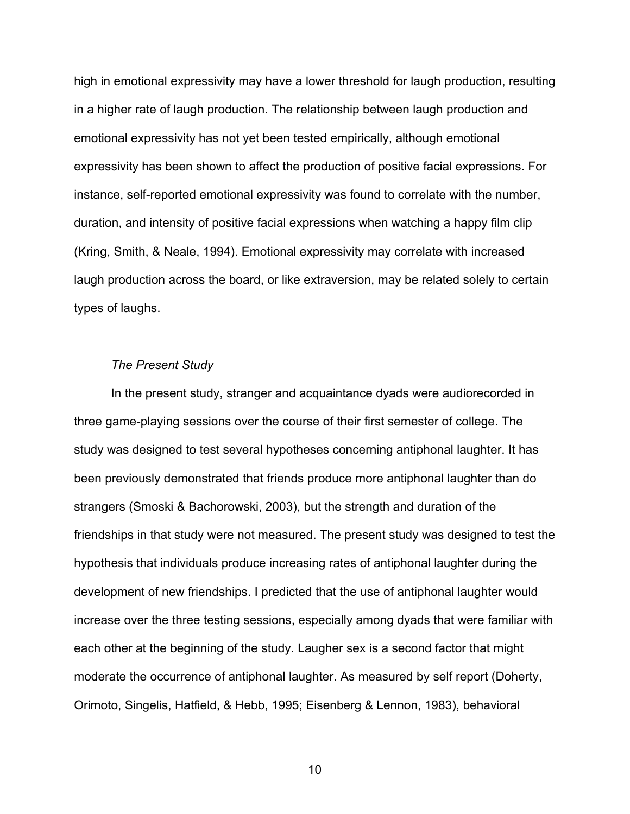high in emotional expressivity may have a lower threshold for laugh production, resulting in a higher rate of laugh production. The relationship between laugh production and emotional expressivity has not yet been tested empirically, although emotional expressivity has been shown to affect the production of positive facial expressions. For instance, self-reported emotional expressivity was found to correlate with the number, duration, and intensity of positive facial expressions when watching a happy film clip (Kring, Smith, & Neale, 1994). Emotional expressivity may correlate with increased laugh production across the board, or like extraversion, may be related solely to certain types of laughs.

#### *The Present Study*

In the present study, stranger and acquaintance dyads were audiorecorded in three game-playing sessions over the course of their first semester of college. The study was designed to test several hypotheses concerning antiphonal laughter. It has been previously demonstrated that friends produce more antiphonal laughter than do strangers (Smoski & Bachorowski, 2003), but the strength and duration of the friendships in that study were not measured. The present study was designed to test the hypothesis that individuals produce increasing rates of antiphonal laughter during the development of new friendships. I predicted that the use of antiphonal laughter would increase over the three testing sessions, especially among dyads that were familiar with each other at the beginning of the study. Laugher sex is a second factor that might moderate the occurrence of antiphonal laughter. As measured by self report (Doherty, Orimoto, Singelis, Hatfield, & Hebb, 1995; Eisenberg & Lennon, 1983), behavioral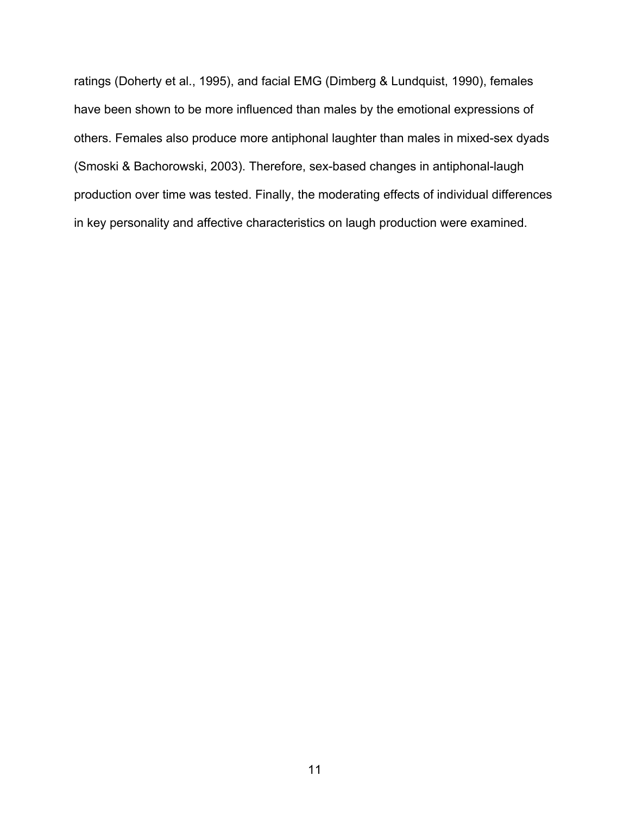ratings (Doherty et al., 1995), and facial EMG (Dimberg & Lundquist, 1990), females have been shown to be more influenced than males by the emotional expressions of others. Females also produce more antiphonal laughter than males in mixed-sex dyads (Smoski & Bachorowski, 2003). Therefore, sex-based changes in antiphonal-laugh production over time was tested. Finally, the moderating effects of individual differences in key personality and affective characteristics on laugh production were examined.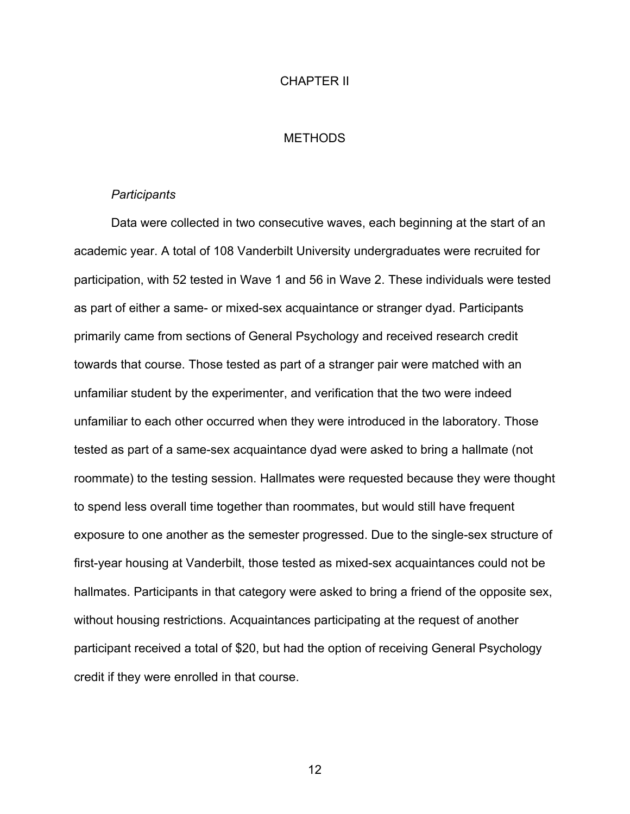#### CHAPTER II

#### **METHODS**

#### *Participants*

Data were collected in two consecutive waves, each beginning at the start of an academic year. A total of 108 Vanderbilt University undergraduates were recruited for participation, with 52 tested in Wave 1 and 56 in Wave 2. These individuals were tested as part of either a same- or mixed-sex acquaintance or stranger dyad. Participants primarily came from sections of General Psychology and received research credit towards that course. Those tested as part of a stranger pair were matched with an unfamiliar student by the experimenter, and verification that the two were indeed unfamiliar to each other occurred when they were introduced in the laboratory. Those tested as part of a same-sex acquaintance dyad were asked to bring a hallmate (not roommate) to the testing session. Hallmates were requested because they were thought to spend less overall time together than roommates, but would still have frequent exposure to one another as the semester progressed. Due to the single-sex structure of first-year housing at Vanderbilt, those tested as mixed-sex acquaintances could not be hallmates. Participants in that category were asked to bring a friend of the opposite sex, without housing restrictions. Acquaintances participating at the request of another participant received a total of \$20, but had the option of receiving General Psychology credit if they were enrolled in that course.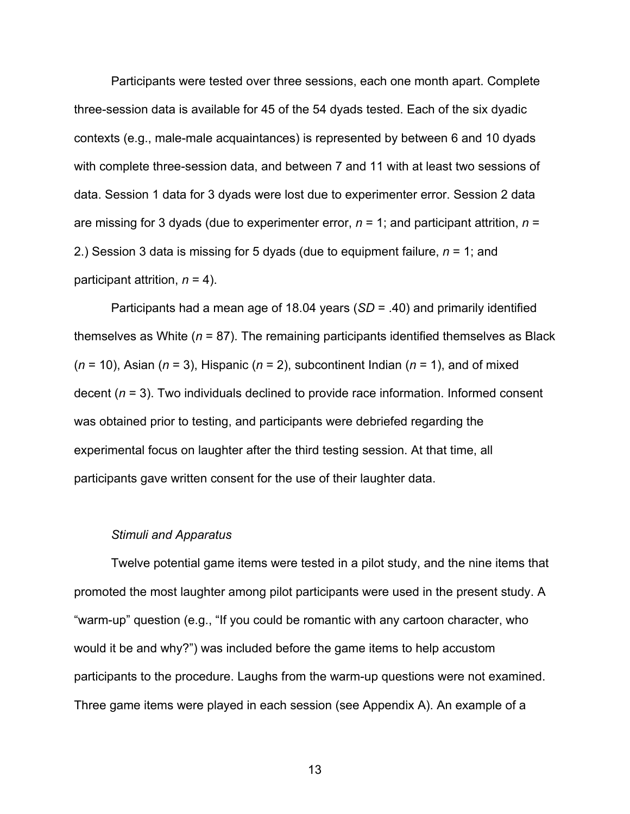Participants were tested over three sessions, each one month apart. Complete three-session data is available for 45 of the 54 dyads tested. Each of the six dyadic contexts (e.g., male-male acquaintances) is represented by between 6 and 10 dyads with complete three-session data, and between 7 and 11 with at least two sessions of data. Session 1 data for 3 dyads were lost due to experimenter error. Session 2 data are missing for 3 dyads (due to experimenter error, *n* = 1; and participant attrition, *n* = 2.) Session 3 data is missing for 5 dyads (due to equipment failure, *n* = 1; and participant attrition, *n* = 4).

Participants had a mean age of 18.04 years (*SD* = .40) and primarily identified themselves as White (*n* = 87). The remaining participants identified themselves as Black (*n* = 10), Asian (*n* = 3), Hispanic (*n* = 2), subcontinent Indian (*n* = 1), and of mixed decent (*n* = 3). Two individuals declined to provide race information. Informed consent was obtained prior to testing, and participants were debriefed regarding the experimental focus on laughter after the third testing session. At that time, all participants gave written consent for the use of their laughter data.

#### *Stimuli and Apparatus*

Twelve potential game items were tested in a pilot study, and the nine items that promoted the most laughter among pilot participants were used in the present study. A "warm-up" question (e.g., "If you could be romantic with any cartoon character, who would it be and why?") was included before the game items to help accustom participants to the procedure. Laughs from the warm-up questions were not examined. Three game items were played in each session (see Appendix A). An example of a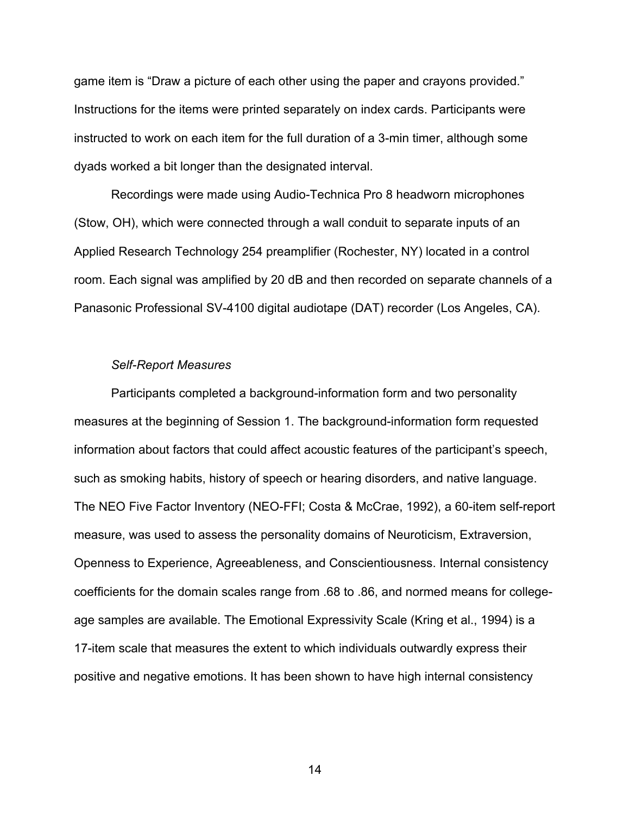game item is "Draw a picture of each other using the paper and crayons provided." Instructions for the items were printed separately on index cards. Participants were instructed to work on each item for the full duration of a 3-min timer, although some dyads worked a bit longer than the designated interval.

Recordings were made using Audio-Technica Pro 8 headworn microphones (Stow, OH), which were connected through a wall conduit to separate inputs of an Applied Research Technology 254 preamplifier (Rochester, NY) located in a control room. Each signal was amplified by 20 dB and then recorded on separate channels of a Panasonic Professional SV-4100 digital audiotape (DAT) recorder (Los Angeles, CA).

#### *Self-Report Measures*

Participants completed a background-information form and two personality measures at the beginning of Session 1. The background-information form requested information about factors that could affect acoustic features of the participant's speech, such as smoking habits, history of speech or hearing disorders, and native language. The NEO Five Factor Inventory (NEO-FFI; Costa & McCrae, 1992), a 60-item self-report measure, was used to assess the personality domains of Neuroticism, Extraversion, Openness to Experience, Agreeableness, and Conscientiousness. Internal consistency coefficients for the domain scales range from .68 to .86, and normed means for collegeage samples are available. The Emotional Expressivity Scale (Kring et al., 1994) is a 17-item scale that measures the extent to which individuals outwardly express their positive and negative emotions. It has been shown to have high internal consistency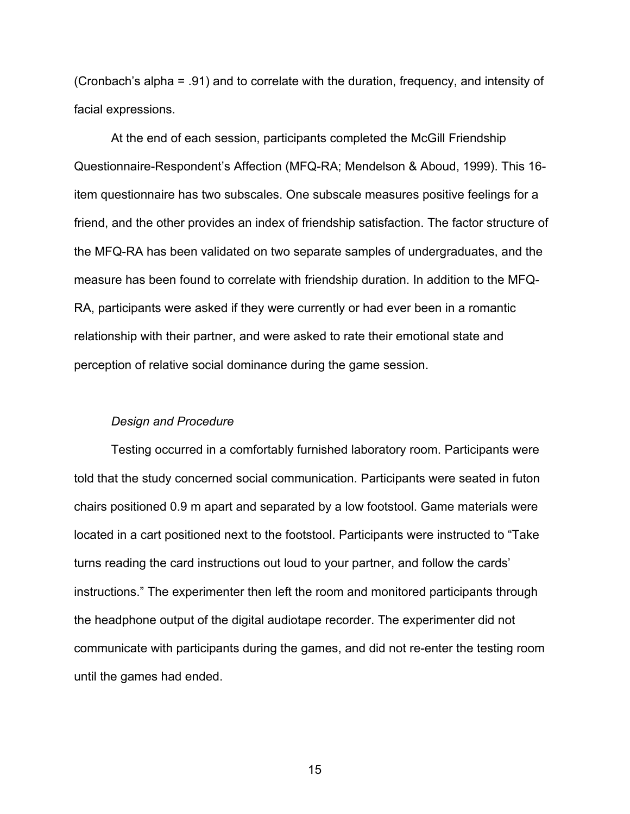(Cronbach's alpha = .91) and to correlate with the duration, frequency, and intensity of facial expressions.

At the end of each session, participants completed the McGill Friendship Questionnaire-Respondent's Affection (MFQ-RA; Mendelson & Aboud, 1999). This 16 item questionnaire has two subscales. One subscale measures positive feelings for a friend, and the other provides an index of friendship satisfaction. The factor structure of the MFQ-RA has been validated on two separate samples of undergraduates, and the measure has been found to correlate with friendship duration. In addition to the MFQ-RA, participants were asked if they were currently or had ever been in a romantic relationship with their partner, and were asked to rate their emotional state and perception of relative social dominance during the game session.

#### *Design and Procedure*

Testing occurred in a comfortably furnished laboratory room. Participants were told that the study concerned social communication. Participants were seated in futon chairs positioned 0.9 m apart and separated by a low footstool. Game materials were located in a cart positioned next to the footstool. Participants were instructed to "Take turns reading the card instructions out loud to your partner, and follow the cards' instructions." The experimenter then left the room and monitored participants through the headphone output of the digital audiotape recorder. The experimenter did not communicate with participants during the games, and did not re-enter the testing room until the games had ended.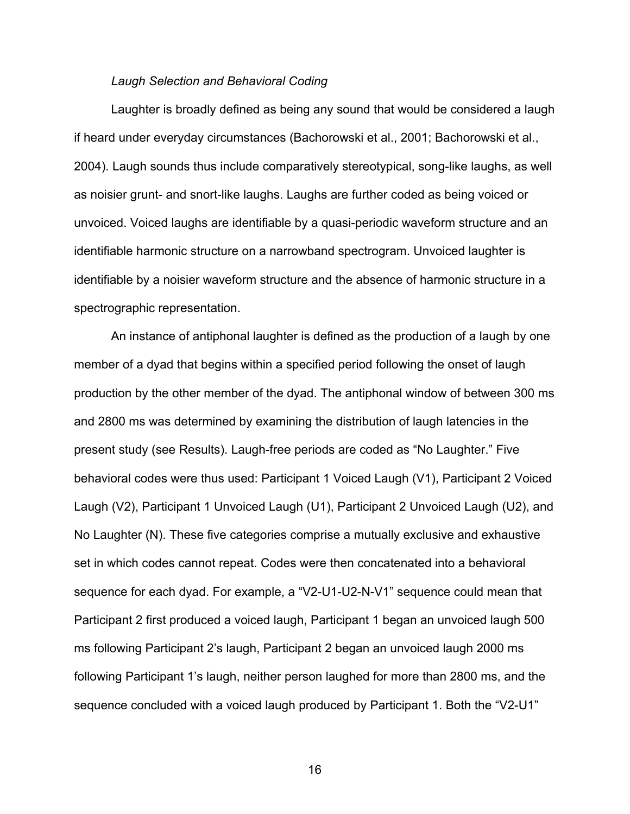#### *Laugh Selection and Behavioral Coding*

Laughter is broadly defined as being any sound that would be considered a laugh if heard under everyday circumstances (Bachorowski et al., 2001; Bachorowski et al., 2004). Laugh sounds thus include comparatively stereotypical, song-like laughs, as well as noisier grunt- and snort-like laughs. Laughs are further coded as being voiced or unvoiced. Voiced laughs are identifiable by a quasi-periodic waveform structure and an identifiable harmonic structure on a narrowband spectrogram. Unvoiced laughter is identifiable by a noisier waveform structure and the absence of harmonic structure in a spectrographic representation.

An instance of antiphonal laughter is defined as the production of a laugh by one member of a dyad that begins within a specified period following the onset of laugh production by the other member of the dyad. The antiphonal window of between 300 ms and 2800 ms was determined by examining the distribution of laugh latencies in the present study (see Results). Laugh-free periods are coded as "No Laughter." Five behavioral codes were thus used: Participant 1 Voiced Laugh (V1), Participant 2 Voiced Laugh (V2), Participant 1 Unvoiced Laugh (U1), Participant 2 Unvoiced Laugh (U2), and No Laughter (N). These five categories comprise a mutually exclusive and exhaustive set in which codes cannot repeat. Codes were then concatenated into a behavioral sequence for each dyad. For example, a "V2-U1-U2-N-V1" sequence could mean that Participant 2 first produced a voiced laugh, Participant 1 began an unvoiced laugh 500 ms following Participant 2's laugh, Participant 2 began an unvoiced laugh 2000 ms following Participant 1's laugh, neither person laughed for more than 2800 ms, and the sequence concluded with a voiced laugh produced by Participant 1. Both the "V2-U1"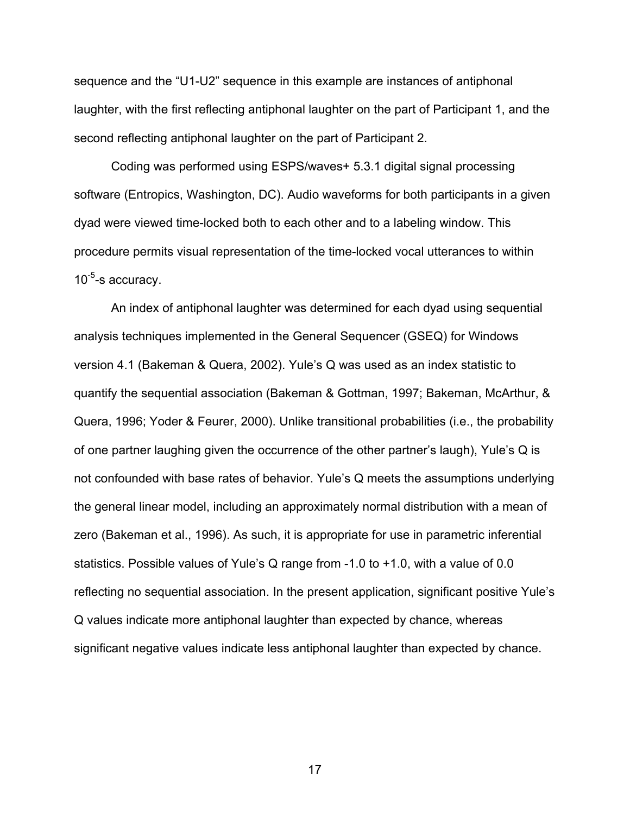sequence and the "U1-U2" sequence in this example are instances of antiphonal laughter, with the first reflecting antiphonal laughter on the part of Participant 1, and the second reflecting antiphonal laughter on the part of Participant 2.

Coding was performed using ESPS/waves+ 5.3.1 digital signal processing software (Entropics, Washington, DC). Audio waveforms for both participants in a given dyad were viewed time-locked both to each other and to a labeling window. This procedure permits visual representation of the time-locked vocal utterances to within  $10^{-5}$ -s accuracy.

An index of antiphonal laughter was determined for each dyad using sequential analysis techniques implemented in the General Sequencer (GSEQ) for Windows version 4.1 (Bakeman & Quera, 2002). Yule's Q was used as an index statistic to quantify the sequential association (Bakeman & Gottman, 1997; Bakeman, McArthur, & Quera, 1996; Yoder & Feurer, 2000). Unlike transitional probabilities (i.e., the probability of one partner laughing given the occurrence of the other partner's laugh), Yule's Q is not confounded with base rates of behavior. Yule's Q meets the assumptions underlying the general linear model, including an approximately normal distribution with a mean of zero (Bakeman et al., 1996). As such, it is appropriate for use in parametric inferential statistics. Possible values of Yule's Q range from -1.0 to +1.0, with a value of 0.0 reflecting no sequential association. In the present application, significant positive Yule's Q values indicate more antiphonal laughter than expected by chance, whereas significant negative values indicate less antiphonal laughter than expected by chance.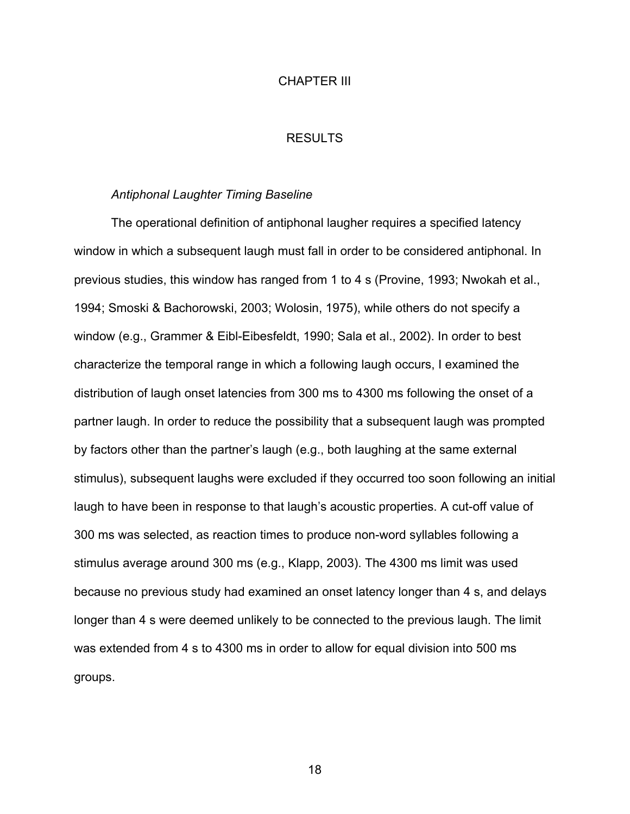#### CHAPTER III

#### RESULTS

#### *Antiphonal Laughter Timing Baseline*

The operational definition of antiphonal laugher requires a specified latency window in which a subsequent laugh must fall in order to be considered antiphonal. In previous studies, this window has ranged from 1 to 4 s (Provine, 1993; Nwokah et al., 1994; Smoski & Bachorowski, 2003; Wolosin, 1975), while others do not specify a window (e.g., Grammer & Eibl-Eibesfeldt, 1990; Sala et al., 2002). In order to best characterize the temporal range in which a following laugh occurs, I examined the distribution of laugh onset latencies from 300 ms to 4300 ms following the onset of a partner laugh. In order to reduce the possibility that a subsequent laugh was prompted by factors other than the partner's laugh (e.g., both laughing at the same external stimulus), subsequent laughs were excluded if they occurred too soon following an initial laugh to have been in response to that laugh's acoustic properties. A cut-off value of 300 ms was selected, as reaction times to produce non-word syllables following a stimulus average around 300 ms (e.g., Klapp, 2003). The 4300 ms limit was used because no previous study had examined an onset latency longer than 4 s, and delays longer than 4 s were deemed unlikely to be connected to the previous laugh. The limit was extended from 4 s to 4300 ms in order to allow for equal division into 500 ms groups.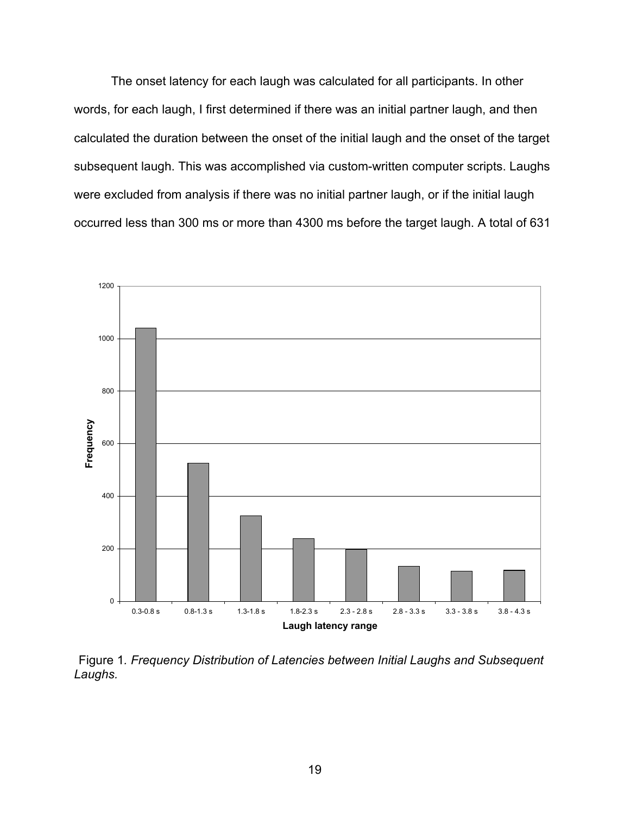The onset latency for each laugh was calculated for all participants. In other words, for each laugh, I first determined if there was an initial partner laugh, and then calculated the duration between the onset of the initial laugh and the onset of the target subsequent laugh. This was accomplished via custom-written computer scripts. Laughs were excluded from analysis if there was no initial partner laugh, or if the initial laugh occurred less than 300 ms or more than 4300 ms before the target laugh. A total of 631



Figure 1*. Frequency Distribution of Latencies between Initial Laughs and Subsequent Laughs.*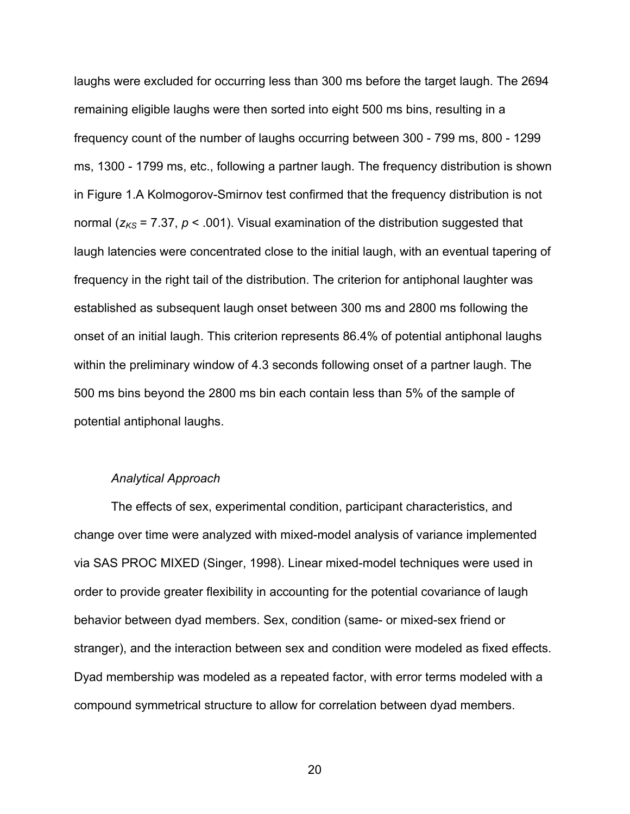laughs were excluded for occurring less than 300 ms before the target laugh. The 2694 remaining eligible laughs were then sorted into eight 500 ms bins, resulting in a frequency count of the number of laughs occurring between 300 - 799 ms, 800 - 1299 ms, 1300 - 1799 ms, etc., following a partner laugh. The frequency distribution is shown in Figure 1.A Kolmogorov-Smirnov test confirmed that the frequency distribution is not normal ( $z_{KS}$  = 7.37,  $p$  < .001). Visual examination of the distribution suggested that laugh latencies were concentrated close to the initial laugh, with an eventual tapering of frequency in the right tail of the distribution. The criterion for antiphonal laughter was established as subsequent laugh onset between 300 ms and 2800 ms following the onset of an initial laugh. This criterion represents 86.4% of potential antiphonal laughs within the preliminary window of 4.3 seconds following onset of a partner laugh. The 500 ms bins beyond the 2800 ms bin each contain less than 5% of the sample of potential antiphonal laughs.

#### *Analytical Approach*

The effects of sex, experimental condition, participant characteristics, and change over time were analyzed with mixed-model analysis of variance implemented via SAS PROC MIXED (Singer, 1998). Linear mixed-model techniques were used in order to provide greater flexibility in accounting for the potential covariance of laugh behavior between dyad members. Sex, condition (same- or mixed-sex friend or stranger), and the interaction between sex and condition were modeled as fixed effects. Dyad membership was modeled as a repeated factor, with error terms modeled with a compound symmetrical structure to allow for correlation between dyad members.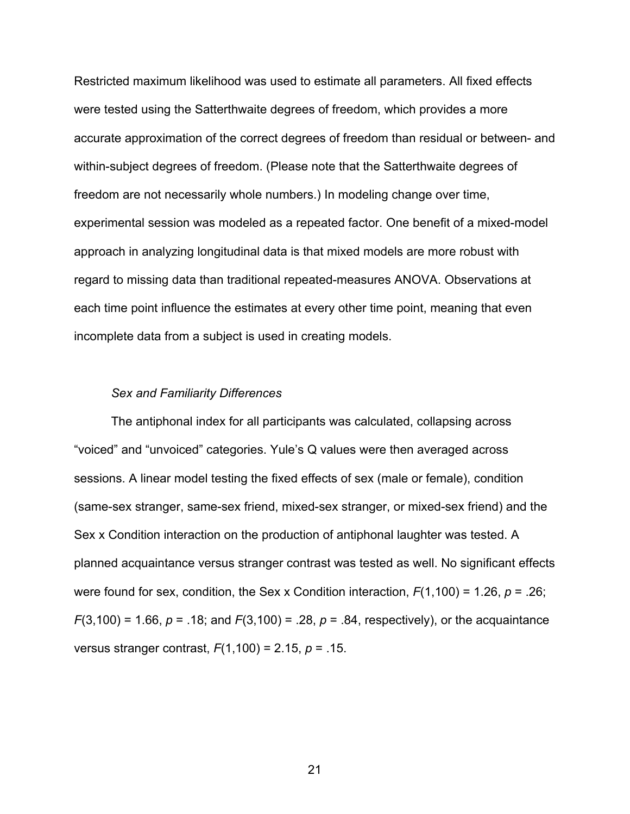Restricted maximum likelihood was used to estimate all parameters. All fixed effects were tested using the Satterthwaite degrees of freedom, which provides a more accurate approximation of the correct degrees of freedom than residual or between- and within-subject degrees of freedom. (Please note that the Satterthwaite degrees of freedom are not necessarily whole numbers.) In modeling change over time, experimental session was modeled as a repeated factor. One benefit of a mixed-model approach in analyzing longitudinal data is that mixed models are more robust with regard to missing data than traditional repeated-measures ANOVA. Observations at each time point influence the estimates at every other time point, meaning that even incomplete data from a subject is used in creating models.

#### *Sex and Familiarity Differences*

The antiphonal index for all participants was calculated, collapsing across "voiced" and "unvoiced" categories. Yule's Q values were then averaged across sessions. A linear model testing the fixed effects of sex (male or female), condition (same-sex stranger, same-sex friend, mixed-sex stranger, or mixed-sex friend) and the Sex x Condition interaction on the production of antiphonal laughter was tested. A planned acquaintance versus stranger contrast was tested as well. No significant effects were found for sex, condition, the Sex x Condition interaction, *F*(1,100) = 1.26, *p* = .26; *F*(3,100) = 1.66, *p* = .18; and *F*(3,100) = .28, *p* = .84, respectively), or the acquaintance versus stranger contrast, *F*(1,100) = 2.15, *p* = .15.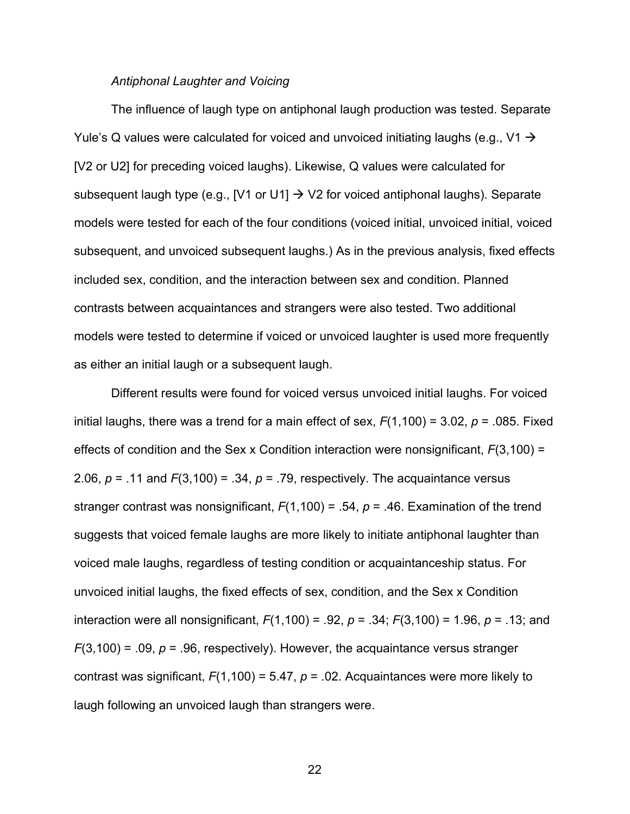#### *Antiphonal Laughter and Voicing*

The influence of laugh type on antiphonal laugh production was tested. Separate Yule's Q values were calculated for voiced and unvoiced initiating laughs (e.g., V1  $\rightarrow$ [V2 or U2] for preceding voiced laughs). Likewise, Q values were calculated for subsequent laugh type (e.g.,  $[V1 \text{ or } U1] \rightarrow V2$  for voiced antiphonal laughs). Separate models were tested for each of the four conditions (voiced initial, unvoiced initial, voiced subsequent, and unvoiced subsequent laughs.) As in the previous analysis, fixed effects included sex, condition, and the interaction between sex and condition. Planned contrasts between acquaintances and strangers were also tested. Two additional models were tested to determine if voiced or unvoiced laughter is used more frequently as either an initial laugh or a subsequent laugh.

Different results were found for voiced versus unvoiced initial laughs. For voiced initial laughs, there was a trend for a main effect of sex, *F*(1,100) = 3.02, *p* = .085. Fixed effects of condition and the Sex x Condition interaction were nonsignificant, *F*(3,100) = 2.06,  $p = 0.11$  and  $F(3,100) = 0.34$ ,  $p = 0.79$ , respectively. The acquaintance versus stranger contrast was nonsignificant, *F*(1,100) = .54, *p* = .46. Examination of the trend suggests that voiced female laughs are more likely to initiate antiphonal laughter than voiced male laughs, regardless of testing condition or acquaintanceship status. For unvoiced initial laughs, the fixed effects of sex, condition, and the Sex x Condition interaction were all nonsignificant, *F*(1,100) = .92, *p* = .34; *F*(3,100) = 1.96, *p* = .13; and  $F(3,100) = .09$ ,  $p = .96$ , respectively). However, the acquaintance versus stranger contrast was significant, *F*(1,100) = 5.47, *p* = .02. Acquaintances were more likely to laugh following an unvoiced laugh than strangers were.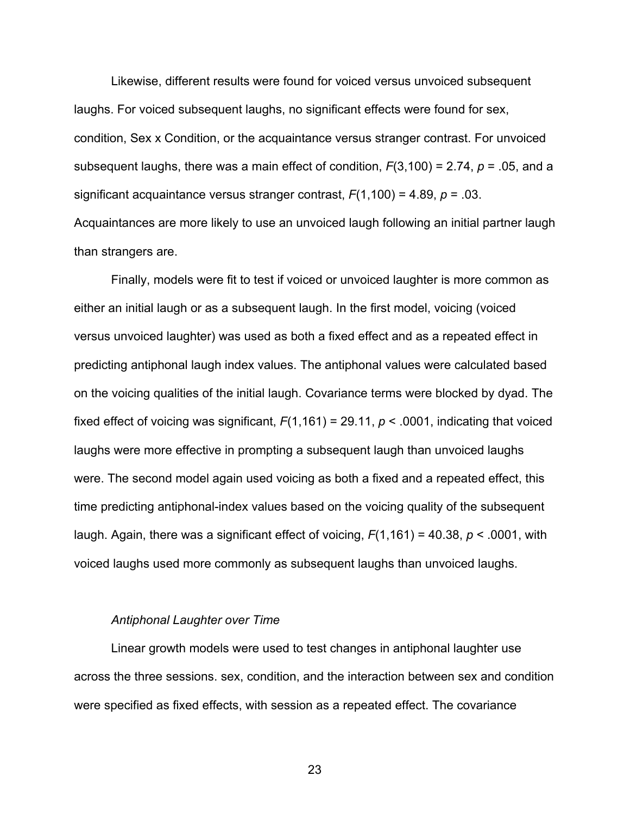Likewise, different results were found for voiced versus unvoiced subsequent laughs. For voiced subsequent laughs, no significant effects were found for sex, condition, Sex x Condition, or the acquaintance versus stranger contrast. For unvoiced subsequent laughs, there was a main effect of condition, *F*(3,100) = 2.74, *p* = .05, and a significant acquaintance versus stranger contrast, *F*(1,100) = 4.89, *p* = .03. Acquaintances are more likely to use an unvoiced laugh following an initial partner laugh than strangers are.

Finally, models were fit to test if voiced or unvoiced laughter is more common as either an initial laugh or as a subsequent laugh. In the first model, voicing (voiced versus unvoiced laughter) was used as both a fixed effect and as a repeated effect in predicting antiphonal laugh index values. The antiphonal values were calculated based on the voicing qualities of the initial laugh. Covariance terms were blocked by dyad. The fixed effect of voicing was significant,  $F(1,161) = 29.11$ ,  $p < .0001$ , indicating that voiced laughs were more effective in prompting a subsequent laugh than unvoiced laughs were. The second model again used voicing as both a fixed and a repeated effect, this time predicting antiphonal-index values based on the voicing quality of the subsequent laugh. Again, there was a significant effect of voicing, *F*(1,161) = 40.38, *p* < .0001, with voiced laughs used more commonly as subsequent laughs than unvoiced laughs.

#### *Antiphonal Laughter over Time*

Linear growth models were used to test changes in antiphonal laughter use across the three sessions. sex, condition, and the interaction between sex and condition were specified as fixed effects, with session as a repeated effect. The covariance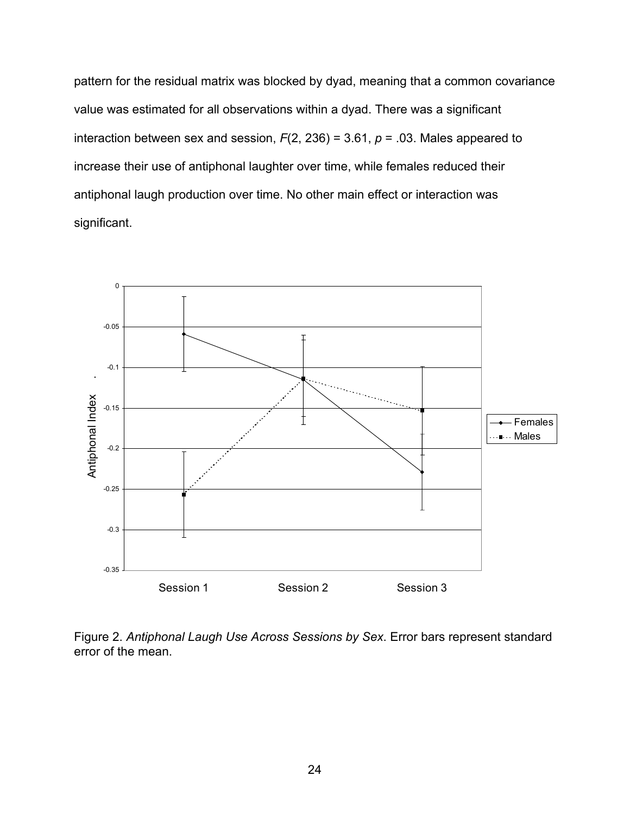pattern for the residual matrix was blocked by dyad, meaning that a common covariance value was estimated for all observations within a dyad. There was a significant interaction between sex and session, *F*(2, 236) = 3.61, *p* = .03. Males appeared to increase their use of antiphonal laughter over time, while females reduced their antiphonal laugh production over time. No other main effect or interaction was significant.



Figure 2. *Antiphonal Laugh Use Across Sessions by Sex*. Error bars represent standard error of the mean.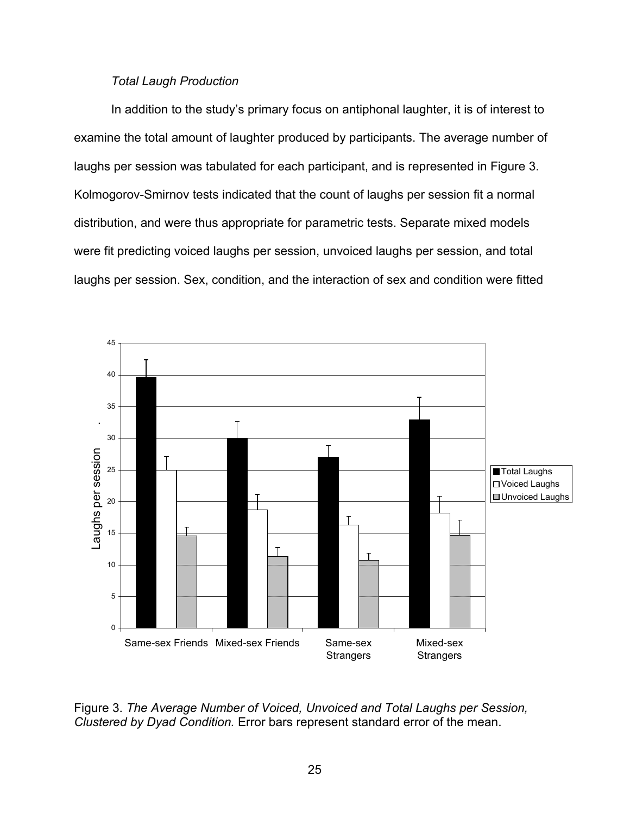### *Total Laugh Production*

In addition to the study's primary focus on antiphonal laughter, it is of interest to examine the total amount of laughter produced by participants. The average number of laughs per session was tabulated for each participant, and is represented in Figure 3. Kolmogorov-Smirnov tests indicated that the count of laughs per session fit a normal distribution, and were thus appropriate for parametric tests. Separate mixed models were fit predicting voiced laughs per session, unvoiced laughs per session, and total laughs per session. Sex, condition, and the interaction of sex and condition were fitted



Figure 3. *The Average Number of Voiced, Unvoiced and Total Laughs per Session, Clustered by Dyad Condition.* Error bars represent standard error of the mean.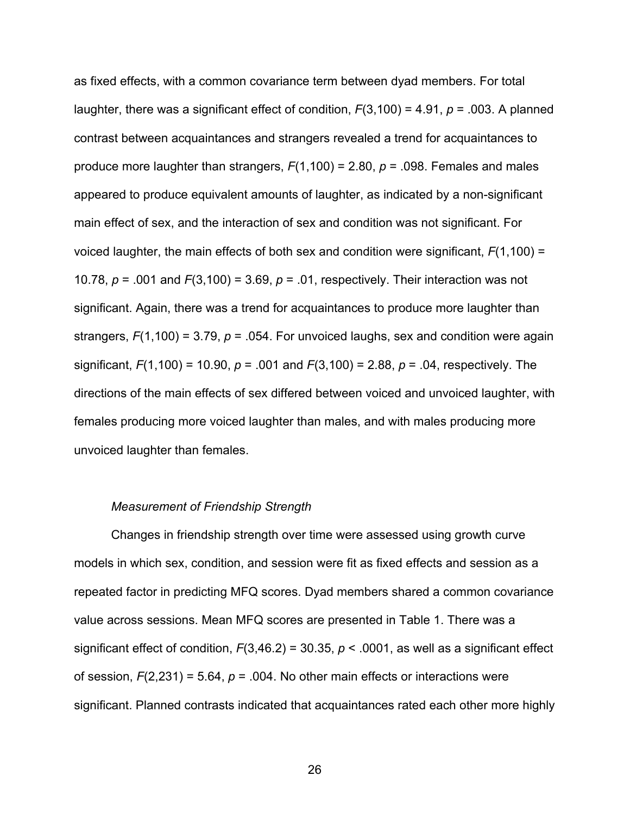as fixed effects, with a common covariance term between dyad members. For total laughter, there was a significant effect of condition, *F*(3,100) = 4.91, *p* = .003. A planned contrast between acquaintances and strangers revealed a trend for acquaintances to produce more laughter than strangers, *F*(1,100) = 2.80, *p* = .098. Females and males appeared to produce equivalent amounts of laughter, as indicated by a non-significant main effect of sex, and the interaction of sex and condition was not significant. For voiced laughter, the main effects of both sex and condition were significant, *F*(1,100) = 10.78, *p* = .001 and *F*(3,100) = 3.69, *p* = .01, respectively. Their interaction was not significant. Again, there was a trend for acquaintances to produce more laughter than strangers, *F*(1,100) = 3.79, *p* = .054. For unvoiced laughs, sex and condition were again significant, *F*(1,100) = 10.90, *p* = .001 and *F*(3,100) = 2.88, *p* = .04, respectively. The directions of the main effects of sex differed between voiced and unvoiced laughter, with females producing more voiced laughter than males, and with males producing more unvoiced laughter than females.

#### *Measurement of Friendship Strength*

Changes in friendship strength over time were assessed using growth curve models in which sex, condition, and session were fit as fixed effects and session as a repeated factor in predicting MFQ scores. Dyad members shared a common covariance value across sessions. Mean MFQ scores are presented in Table 1. There was a significant effect of condition,  $F(3,46.2) = 30.35$ ,  $p < .0001$ , as well as a significant effect of session,  $F(2,231) = 5.64$ ,  $p = .004$ . No other main effects or interactions were significant. Planned contrasts indicated that acquaintances rated each other more highly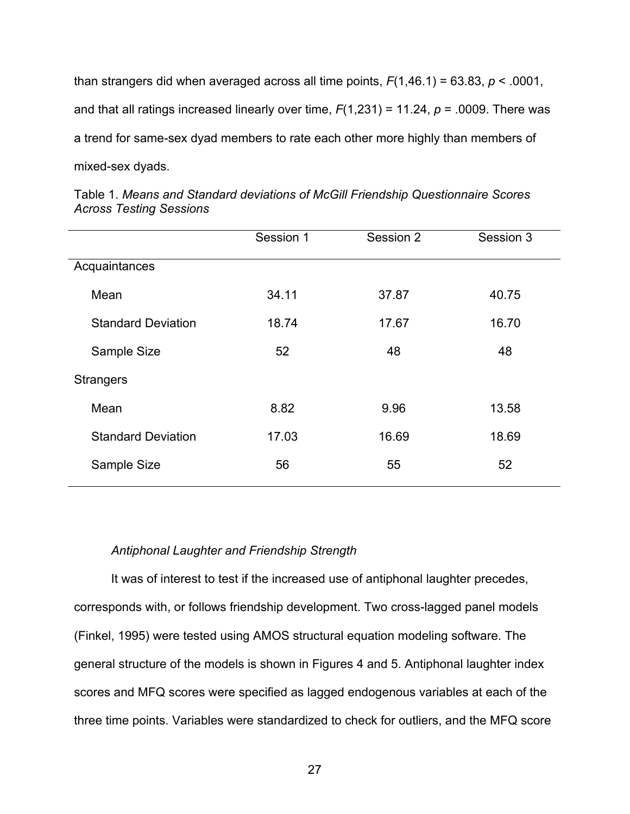than strangers did when averaged across all time points, *F*(1,46.1) = 63.83, *p* < .0001, and that all ratings increased linearly over time, *F*(1,231) = 11.24, *p* = .0009. There was a trend for same-sex dyad members to rate each other more highly than members of mixed-sex dyads.

|                           | Session 1 | Session 2 | Session 3 |
|---------------------------|-----------|-----------|-----------|
| Acquaintances             |           |           |           |
| Mean                      | 34.11     | 37.87     | 40.75     |
| <b>Standard Deviation</b> | 18.74     | 17.67     | 16.70     |
| Sample Size               | 52        | 48        | 48        |
| <b>Strangers</b>          |           |           |           |
| Mean                      | 8.82      | 9.96      | 13.58     |
| <b>Standard Deviation</b> | 17.03     | 16.69     | 18.69     |
| Sample Size               | 56        | 55        | 52        |

Table 1. *Means and Standard deviations of McGill Friendship Questionnaire Scores Across Testing Sessions*

## *Antiphonal Laughter and Friendship Strength*

It was of interest to test if the increased use of antiphonal laughter precedes, corresponds with, or follows friendship development. Two cross-lagged panel models (Finkel, 1995) were tested using AMOS structural equation modeling software. The general structure of the models is shown in Figures 4 and 5. Antiphonal laughter index scores and MFQ scores were specified as lagged endogenous variables at each of the three time points. Variables were standardized to check for outliers, and the MFQ score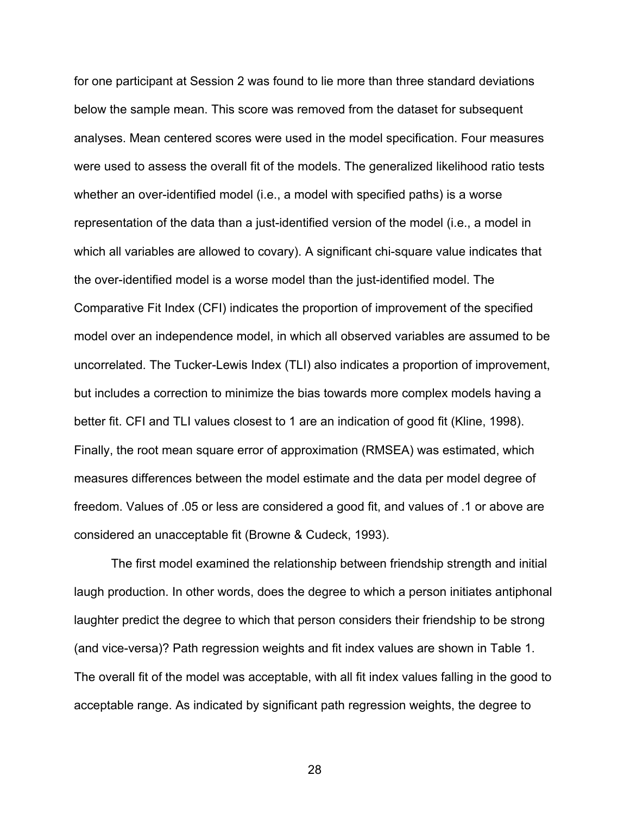for one participant at Session 2 was found to lie more than three standard deviations below the sample mean. This score was removed from the dataset for subsequent analyses. Mean centered scores were used in the model specification. Four measures were used to assess the overall fit of the models. The generalized likelihood ratio tests whether an over-identified model (i.e., a model with specified paths) is a worse representation of the data than a just-identified version of the model (i.e., a model in which all variables are allowed to covary). A significant chi-square value indicates that the over-identified model is a worse model than the just-identified model. The Comparative Fit Index (CFI) indicates the proportion of improvement of the specified model over an independence model, in which all observed variables are assumed to be uncorrelated. The Tucker-Lewis Index (TLI) also indicates a proportion of improvement, but includes a correction to minimize the bias towards more complex models having a better fit. CFI and TLI values closest to 1 are an indication of good fit (Kline, 1998). Finally, the root mean square error of approximation (RMSEA) was estimated, which measures differences between the model estimate and the data per model degree of freedom. Values of .05 or less are considered a good fit, and values of .1 or above are considered an unacceptable fit (Browne & Cudeck, 1993).

The first model examined the relationship between friendship strength and initial laugh production. In other words, does the degree to which a person initiates antiphonal laughter predict the degree to which that person considers their friendship to be strong (and vice-versa)? Path regression weights and fit index values are shown in Table 1. The overall fit of the model was acceptable, with all fit index values falling in the good to acceptable range. As indicated by significant path regression weights, the degree to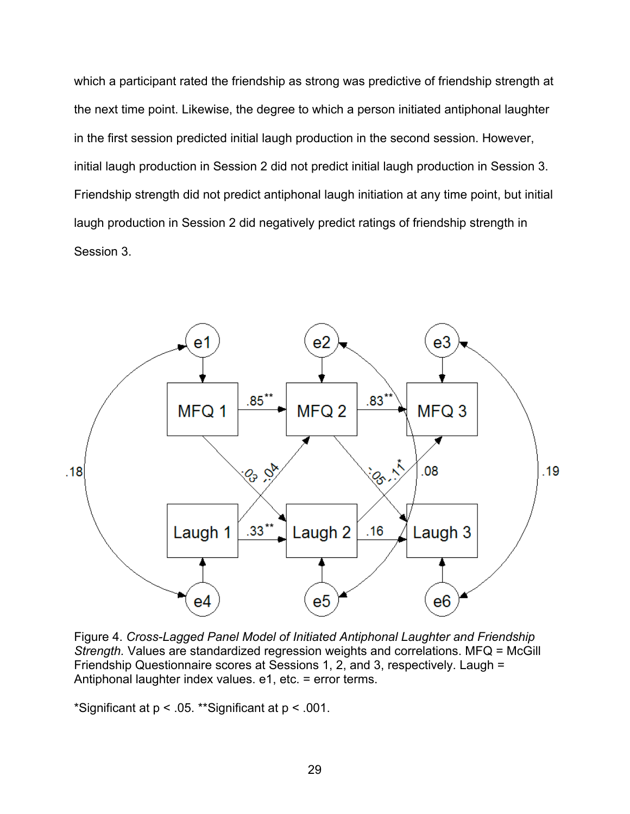which a participant rated the friendship as strong was predictive of friendship strength at the next time point. Likewise, the degree to which a person initiated antiphonal laughter in the first session predicted initial laugh production in the second session. However, initial laugh production in Session 2 did not predict initial laugh production in Session 3. Friendship strength did not predict antiphonal laugh initiation at any time point, but initial laugh production in Session 2 did negatively predict ratings of friendship strength in Session 3.



Figure 4. *Cross-Lagged Panel Model of Initiated Antiphonal Laughter and Friendship Strength.* Values are standardized regression weights and correlations. MFQ = McGill Friendship Questionnaire scores at Sessions 1, 2, and 3, respectively. Laugh = Antiphonal laughter index values. e1, etc. = error terms.

\*Significant at p < .05. \*\*Significant at p < .001.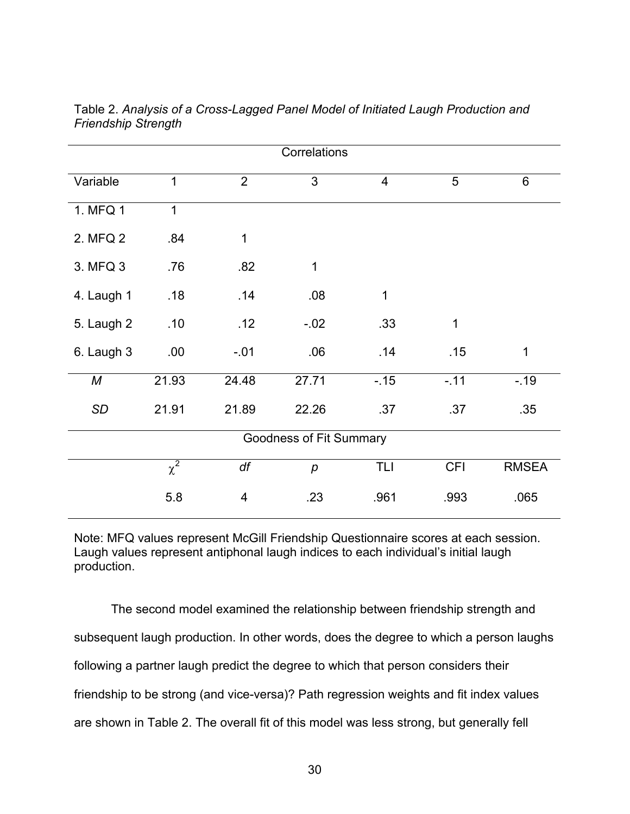| Correlations |              |                |                         |                |            |              |  |
|--------------|--------------|----------------|-------------------------|----------------|------------|--------------|--|
| Variable     | $\mathbf{1}$ | $\overline{2}$ | 3                       | $\overline{4}$ | 5          | 6            |  |
| 1. MFQ 1     | $\mathbf 1$  |                |                         |                |            |              |  |
| 2. MFQ 2     | .84          | 1              |                         |                |            |              |  |
| 3. MFQ 3     | .76          | .82            | $\mathbf 1$             |                |            |              |  |
| 4. Laugh 1   | .18          | .14            | .08                     | $\mathbf 1$    |            |              |  |
| 5. Laugh 2   | .10          | .12            | $-02$                   | .33            | 1          |              |  |
| 6. Laugh 3   | .00          | $-.01$         | .06                     | .14            | .15        | $\mathbf 1$  |  |
| М            | 21.93        | 24.48          | 27.71                   | $-.15$         | $-11$      | $-19$        |  |
| SD           | 21.91        | 21.89          | 22.26                   | .37            | .37        | .35          |  |
|              |              |                | Goodness of Fit Summary |                |            |              |  |
|              | $\chi^2$     | df             | $\boldsymbol{p}$        | TLI            | <b>CFI</b> | <b>RMSEA</b> |  |
|              | 5.8          | 4              | .23                     | .961           | .993       | .065         |  |

Table 2. *Analysis of a Cross-Lagged Panel Model of Initiated Laugh Production and Friendship Strength*

Note: MFQ values represent McGill Friendship Questionnaire scores at each session. Laugh values represent antiphonal laugh indices to each individual's initial laugh production.

The second model examined the relationship between friendship strength and subsequent laugh production. In other words, does the degree to which a person laughs following a partner laugh predict the degree to which that person considers their friendship to be strong (and vice-versa)? Path regression weights and fit index values are shown in Table 2. The overall fit of this model was less strong, but generally fell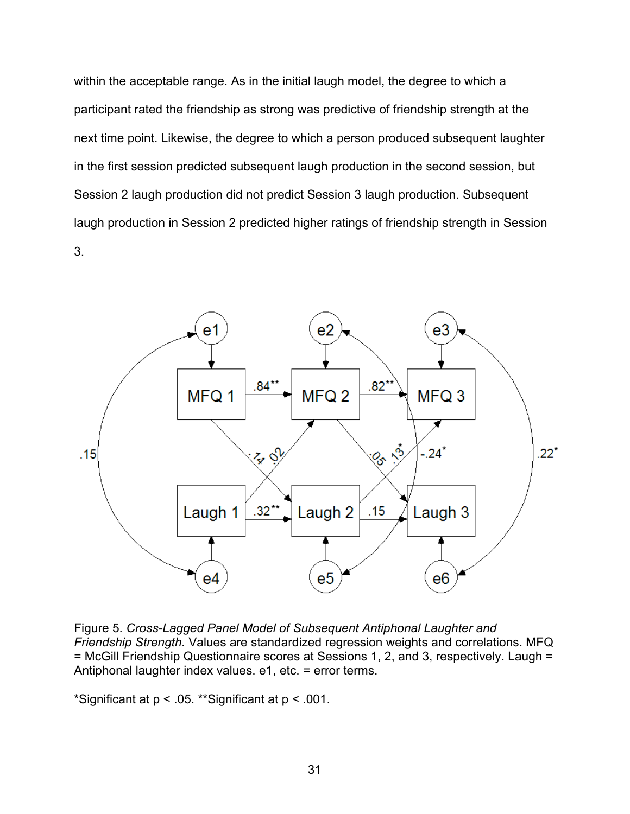within the acceptable range. As in the initial laugh model, the degree to which a participant rated the friendship as strong was predictive of friendship strength at the next time point. Likewise, the degree to which a person produced subsequent laughter in the first session predicted subsequent laugh production in the second session, but Session 2 laugh production did not predict Session 3 laugh production. Subsequent laugh production in Session 2 predicted higher ratings of friendship strength in Session 3.



Figure 5. *Cross-Lagged Panel Model of Subsequent Antiphonal Laughter and Friendship Strength.* Values are standardized regression weights and correlations. MFQ = McGill Friendship Questionnaire scores at Sessions 1, 2, and 3, respectively. Laugh = Antiphonal laughter index values. e1, etc. = error terms.

\*Significant at p < .05. \*\*Significant at p < .001.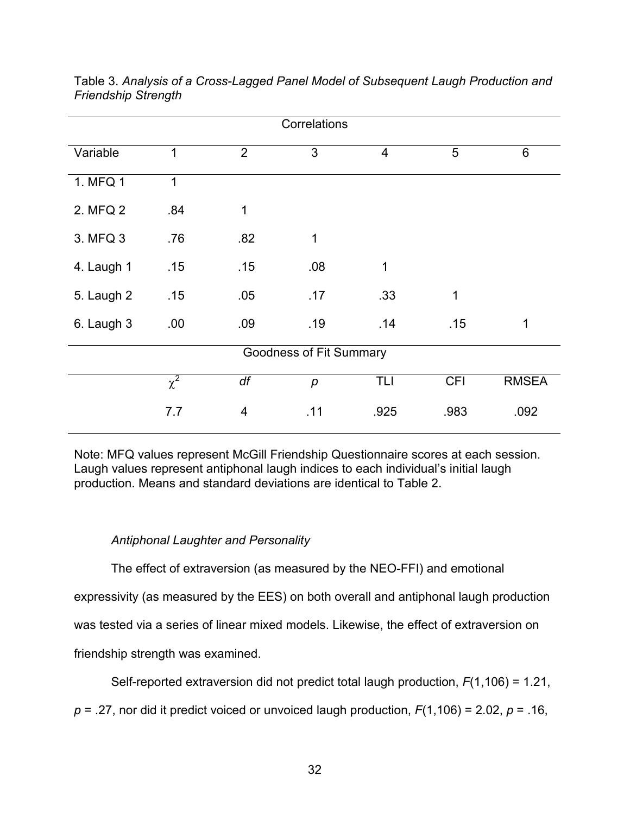| Correlations |                                                 |     |                         |      |             |              |  |
|--------------|-------------------------------------------------|-----|-------------------------|------|-------------|--------------|--|
| Variable     | 3<br>5<br>$\overline{2}$<br>$\overline{4}$<br>1 |     | 6                       |      |             |              |  |
| 1. MFQ 1     | 1                                               |     |                         |      |             |              |  |
| 2. MFQ 2     | .84                                             | 1   |                         |      |             |              |  |
| 3. MFQ 3     | .76                                             | .82 | 1                       |      |             |              |  |
| 4. Laugh 1   | .15                                             | .15 | .08                     | 1    |             |              |  |
| 5. Laugh 2   | .15                                             | .05 | .17                     | .33  | $\mathbf 1$ |              |  |
| 6. Laugh 3   | .00                                             | .09 | .19                     | .14  | .15         | 1            |  |
|              |                                                 |     | Goodness of Fit Summary |      |             |              |  |
|              | $\overline{\chi^2}$                             | df  | p                       | TLI  | <b>CFI</b>  | <b>RMSEA</b> |  |
|              | 7.7                                             | 4   | .11                     | .925 | .983        | .092         |  |

Table 3. *Analysis of a Cross-Lagged Panel Model of Subsequent Laugh Production and Friendship Strength*

Note: MFQ values represent McGill Friendship Questionnaire scores at each session. Laugh values represent antiphonal laugh indices to each individual's initial laugh production. Means and standard deviations are identical to Table 2.

## *Antiphonal Laughter and Personality*

The effect of extraversion (as measured by the NEO-FFI) and emotional expressivity (as measured by the EES) on both overall and antiphonal laugh production was tested via a series of linear mixed models. Likewise, the effect of extraversion on friendship strength was examined.

Self-reported extraversion did not predict total laugh production, *F*(1,106) = 1.21,

*p* = .27, nor did it predict voiced or unvoiced laugh production, *F*(1,106) = 2.02, *p* = .16,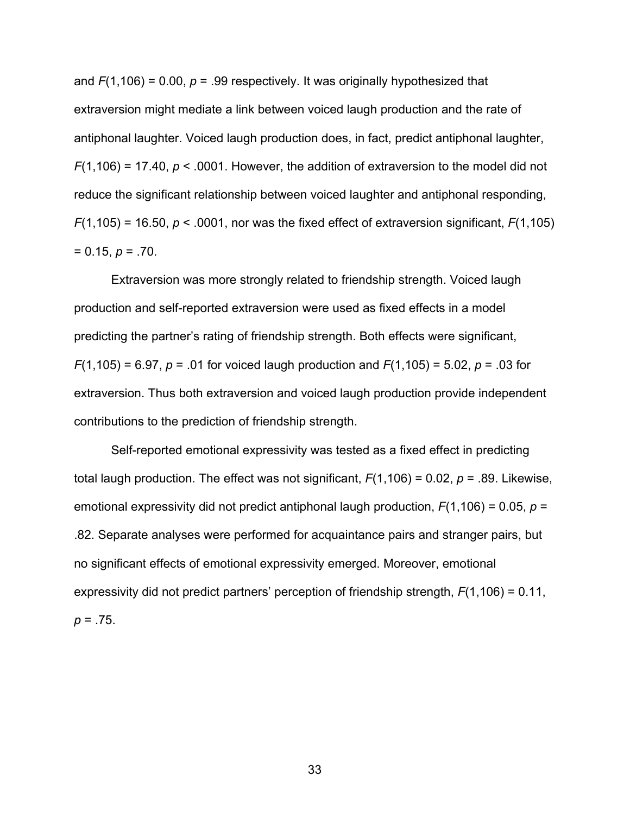and *F*(1,106) = 0.00, *p* = .99 respectively. It was originally hypothesized that extraversion might mediate a link between voiced laugh production and the rate of antiphonal laughter. Voiced laugh production does, in fact, predict antiphonal laughter, *F*(1,106) = 17.40, *p* < .0001. However, the addition of extraversion to the model did not reduce the significant relationship between voiced laughter and antiphonal responding,  $F(1,105)$  = 16.50,  $p < .0001$ , nor was the fixed effect of extraversion significant,  $F(1,105)$  $= 0.15, p = .70.$ 

Extraversion was more strongly related to friendship strength. Voiced laugh production and self-reported extraversion were used as fixed effects in a model predicting the partner's rating of friendship strength. Both effects were significant, *F*(1,105) = 6.97, *p* = .01 for voiced laugh production and *F*(1,105) = 5.02, *p* = .03 for extraversion. Thus both extraversion and voiced laugh production provide independent contributions to the prediction of friendship strength.

Self-reported emotional expressivity was tested as a fixed effect in predicting total laugh production. The effect was not significant,  $F(1,106) = 0.02$ ,  $p = .89$ . Likewise, emotional expressivity did not predict antiphonal laugh production, *F*(1,106) = 0.05, *p* = .82. Separate analyses were performed for acquaintance pairs and stranger pairs, but no significant effects of emotional expressivity emerged. Moreover, emotional expressivity did not predict partners' perception of friendship strength, *F*(1,106) = 0.11, *p* = .75.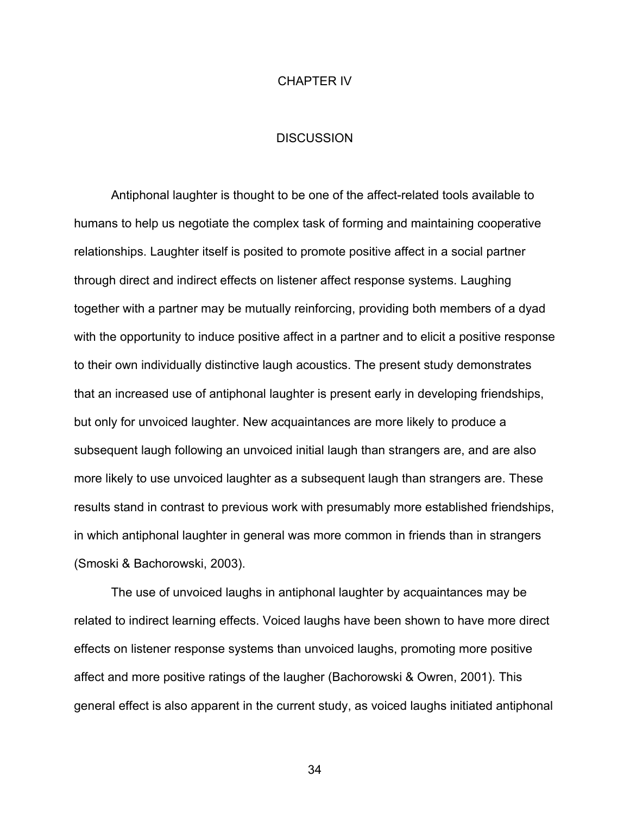#### CHAPTER IV

#### **DISCUSSION**

Antiphonal laughter is thought to be one of the affect-related tools available to humans to help us negotiate the complex task of forming and maintaining cooperative relationships. Laughter itself is posited to promote positive affect in a social partner through direct and indirect effects on listener affect response systems. Laughing together with a partner may be mutually reinforcing, providing both members of a dyad with the opportunity to induce positive affect in a partner and to elicit a positive response to their own individually distinctive laugh acoustics. The present study demonstrates that an increased use of antiphonal laughter is present early in developing friendships, but only for unvoiced laughter. New acquaintances are more likely to produce a subsequent laugh following an unvoiced initial laugh than strangers are, and are also more likely to use unvoiced laughter as a subsequent laugh than strangers are. These results stand in contrast to previous work with presumably more established friendships, in which antiphonal laughter in general was more common in friends than in strangers (Smoski & Bachorowski, 2003).

The use of unvoiced laughs in antiphonal laughter by acquaintances may be related to indirect learning effects. Voiced laughs have been shown to have more direct effects on listener response systems than unvoiced laughs, promoting more positive affect and more positive ratings of the laugher (Bachorowski & Owren, 2001). This general effect is also apparent in the current study, as voiced laughs initiated antiphonal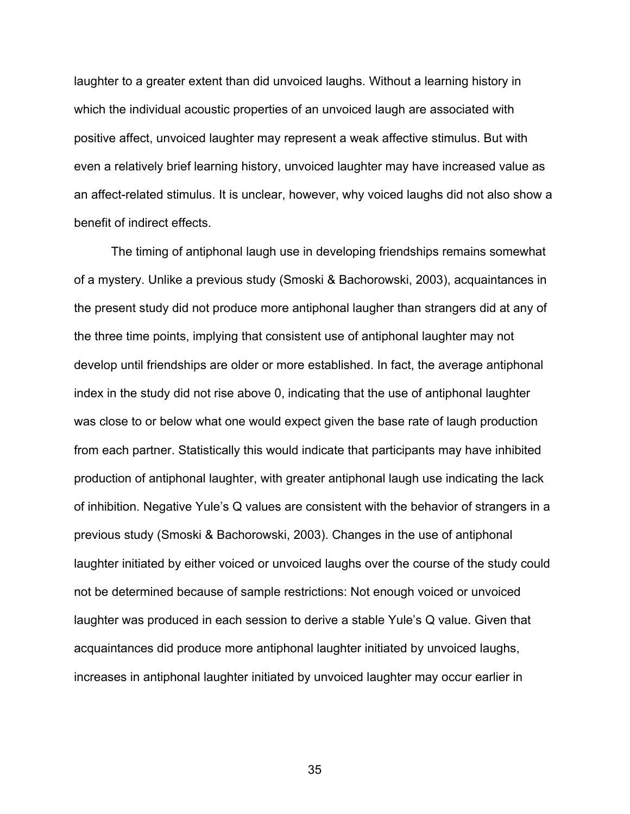laughter to a greater extent than did unvoiced laughs. Without a learning history in which the individual acoustic properties of an unvoiced laugh are associated with positive affect, unvoiced laughter may represent a weak affective stimulus. But with even a relatively brief learning history, unvoiced laughter may have increased value as an affect-related stimulus. It is unclear, however, why voiced laughs did not also show a benefit of indirect effects.

The timing of antiphonal laugh use in developing friendships remains somewhat of a mystery. Unlike a previous study (Smoski & Bachorowski, 2003), acquaintances in the present study did not produce more antiphonal laugher than strangers did at any of the three time points, implying that consistent use of antiphonal laughter may not develop until friendships are older or more established. In fact, the average antiphonal index in the study did not rise above 0, indicating that the use of antiphonal laughter was close to or below what one would expect given the base rate of laugh production from each partner. Statistically this would indicate that participants may have inhibited production of antiphonal laughter, with greater antiphonal laugh use indicating the lack of inhibition. Negative Yule's Q values are consistent with the behavior of strangers in a previous study (Smoski & Bachorowski, 2003). Changes in the use of antiphonal laughter initiated by either voiced or unvoiced laughs over the course of the study could not be determined because of sample restrictions: Not enough voiced or unvoiced laughter was produced in each session to derive a stable Yule's Q value. Given that acquaintances did produce more antiphonal laughter initiated by unvoiced laughs, increases in antiphonal laughter initiated by unvoiced laughter may occur earlier in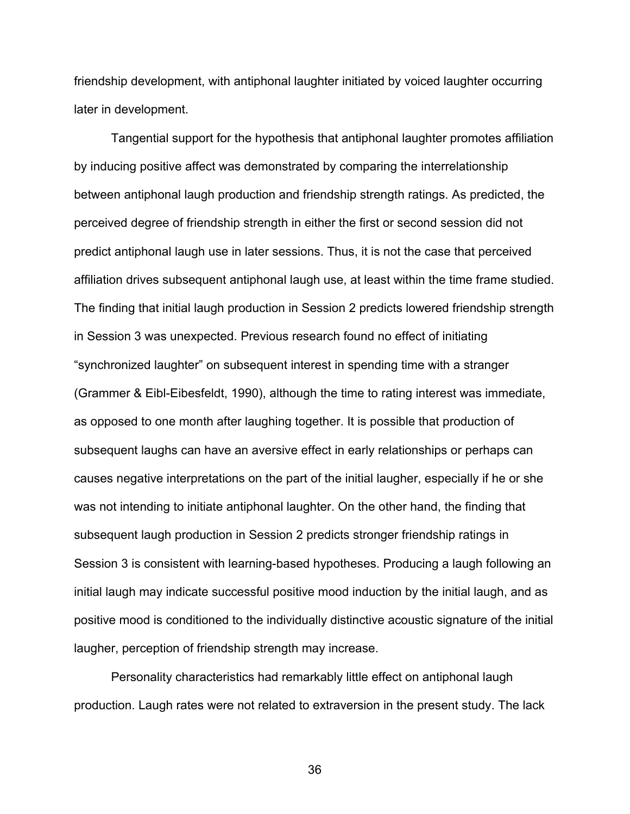friendship development, with antiphonal laughter initiated by voiced laughter occurring later in development.

Tangential support for the hypothesis that antiphonal laughter promotes affiliation by inducing positive affect was demonstrated by comparing the interrelationship between antiphonal laugh production and friendship strength ratings. As predicted, the perceived degree of friendship strength in either the first or second session did not predict antiphonal laugh use in later sessions. Thus, it is not the case that perceived affiliation drives subsequent antiphonal laugh use, at least within the time frame studied. The finding that initial laugh production in Session 2 predicts lowered friendship strength in Session 3 was unexpected. Previous research found no effect of initiating "synchronized laughter" on subsequent interest in spending time with a stranger (Grammer & Eibl-Eibesfeldt, 1990), although the time to rating interest was immediate, as opposed to one month after laughing together. It is possible that production of subsequent laughs can have an aversive effect in early relationships or perhaps can causes negative interpretations on the part of the initial laugher, especially if he or she was not intending to initiate antiphonal laughter. On the other hand, the finding that subsequent laugh production in Session 2 predicts stronger friendship ratings in Session 3 is consistent with learning-based hypotheses. Producing a laugh following an initial laugh may indicate successful positive mood induction by the initial laugh, and as positive mood is conditioned to the individually distinctive acoustic signature of the initial laugher, perception of friendship strength may increase.

Personality characteristics had remarkably little effect on antiphonal laugh production. Laugh rates were not related to extraversion in the present study. The lack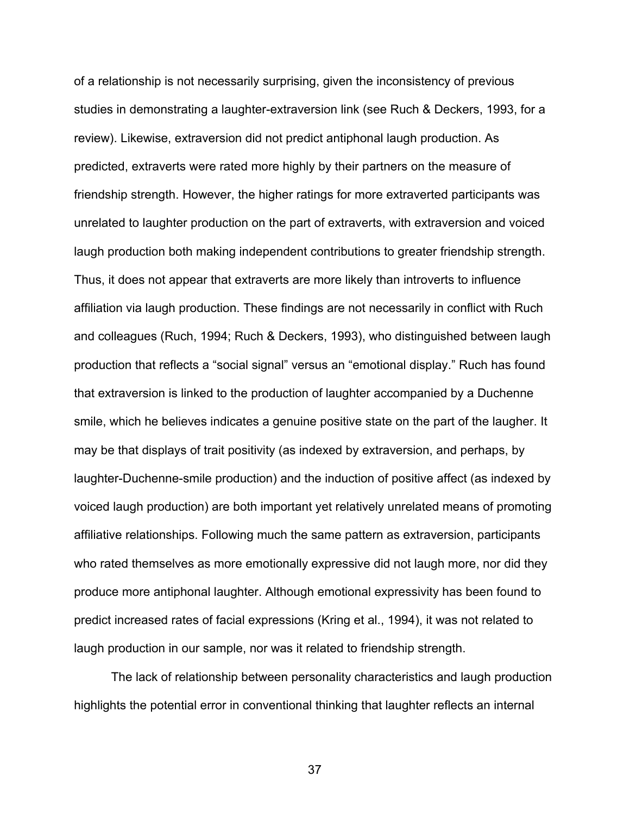of a relationship is not necessarily surprising, given the inconsistency of previous studies in demonstrating a laughter-extraversion link (see Ruch & Deckers, 1993, for a review). Likewise, extraversion did not predict antiphonal laugh production. As predicted, extraverts were rated more highly by their partners on the measure of friendship strength. However, the higher ratings for more extraverted participants was unrelated to laughter production on the part of extraverts, with extraversion and voiced laugh production both making independent contributions to greater friendship strength. Thus, it does not appear that extraverts are more likely than introverts to influence affiliation via laugh production. These findings are not necessarily in conflict with Ruch and colleagues (Ruch, 1994; Ruch & Deckers, 1993), who distinguished between laugh production that reflects a "social signal" versus an "emotional display." Ruch has found that extraversion is linked to the production of laughter accompanied by a Duchenne smile, which he believes indicates a genuine positive state on the part of the laugher. It may be that displays of trait positivity (as indexed by extraversion, and perhaps, by laughter-Duchenne-smile production) and the induction of positive affect (as indexed by voiced laugh production) are both important yet relatively unrelated means of promoting affiliative relationships. Following much the same pattern as extraversion, participants who rated themselves as more emotionally expressive did not laugh more, nor did they produce more antiphonal laughter. Although emotional expressivity has been found to predict increased rates of facial expressions (Kring et al., 1994), it was not related to laugh production in our sample, nor was it related to friendship strength.

The lack of relationship between personality characteristics and laugh production highlights the potential error in conventional thinking that laughter reflects an internal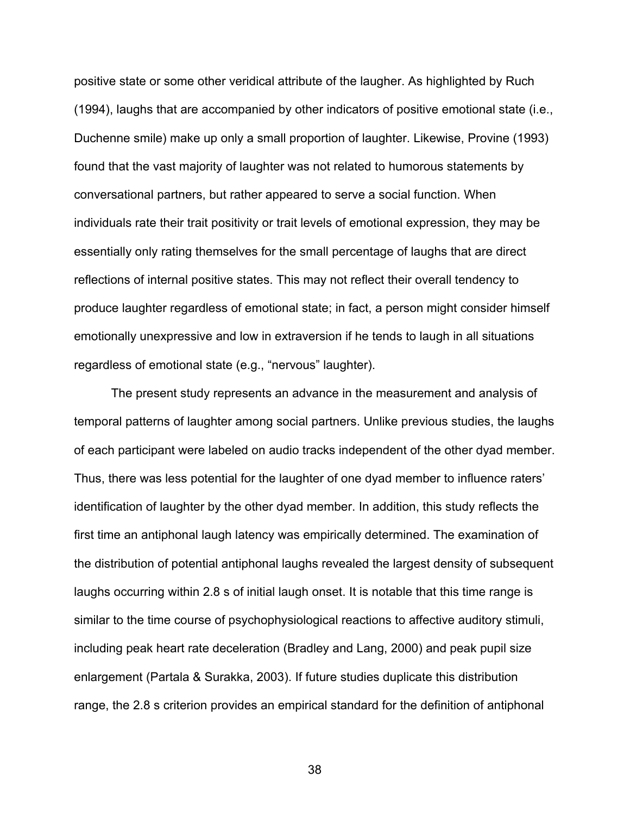positive state or some other veridical attribute of the laugher. As highlighted by Ruch (1994), laughs that are accompanied by other indicators of positive emotional state (i.e., Duchenne smile) make up only a small proportion of laughter. Likewise, Provine (1993) found that the vast majority of laughter was not related to humorous statements by conversational partners, but rather appeared to serve a social function. When individuals rate their trait positivity or trait levels of emotional expression, they may be essentially only rating themselves for the small percentage of laughs that are direct reflections of internal positive states. This may not reflect their overall tendency to produce laughter regardless of emotional state; in fact, a person might consider himself emotionally unexpressive and low in extraversion if he tends to laugh in all situations regardless of emotional state (e.g., "nervous" laughter).

The present study represents an advance in the measurement and analysis of temporal patterns of laughter among social partners. Unlike previous studies, the laughs of each participant were labeled on audio tracks independent of the other dyad member. Thus, there was less potential for the laughter of one dyad member to influence raters' identification of laughter by the other dyad member. In addition, this study reflects the first time an antiphonal laugh latency was empirically determined. The examination of the distribution of potential antiphonal laughs revealed the largest density of subsequent laughs occurring within 2.8 s of initial laugh onset. It is notable that this time range is similar to the time course of psychophysiological reactions to affective auditory stimuli, including peak heart rate deceleration (Bradley and Lang, 2000) and peak pupil size enlargement (Partala & Surakka, 2003). If future studies duplicate this distribution range, the 2.8 s criterion provides an empirical standard for the definition of antiphonal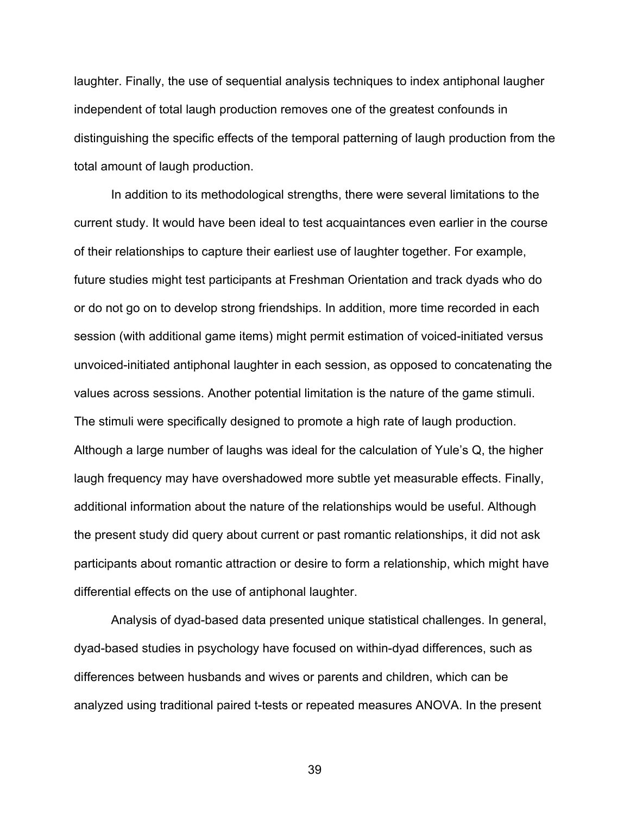laughter. Finally, the use of sequential analysis techniques to index antiphonal laugher independent of total laugh production removes one of the greatest confounds in distinguishing the specific effects of the temporal patterning of laugh production from the total amount of laugh production.

In addition to its methodological strengths, there were several limitations to the current study. It would have been ideal to test acquaintances even earlier in the course of their relationships to capture their earliest use of laughter together. For example, future studies might test participants at Freshman Orientation and track dyads who do or do not go on to develop strong friendships. In addition, more time recorded in each session (with additional game items) might permit estimation of voiced-initiated versus unvoiced-initiated antiphonal laughter in each session, as opposed to concatenating the values across sessions. Another potential limitation is the nature of the game stimuli. The stimuli were specifically designed to promote a high rate of laugh production. Although a large number of laughs was ideal for the calculation of Yule's Q, the higher laugh frequency may have overshadowed more subtle yet measurable effects. Finally, additional information about the nature of the relationships would be useful. Although the present study did query about current or past romantic relationships, it did not ask participants about romantic attraction or desire to form a relationship, which might have differential effects on the use of antiphonal laughter.

Analysis of dyad-based data presented unique statistical challenges. In general, dyad-based studies in psychology have focused on within-dyad differences, such as differences between husbands and wives or parents and children, which can be analyzed using traditional paired t-tests or repeated measures ANOVA. In the present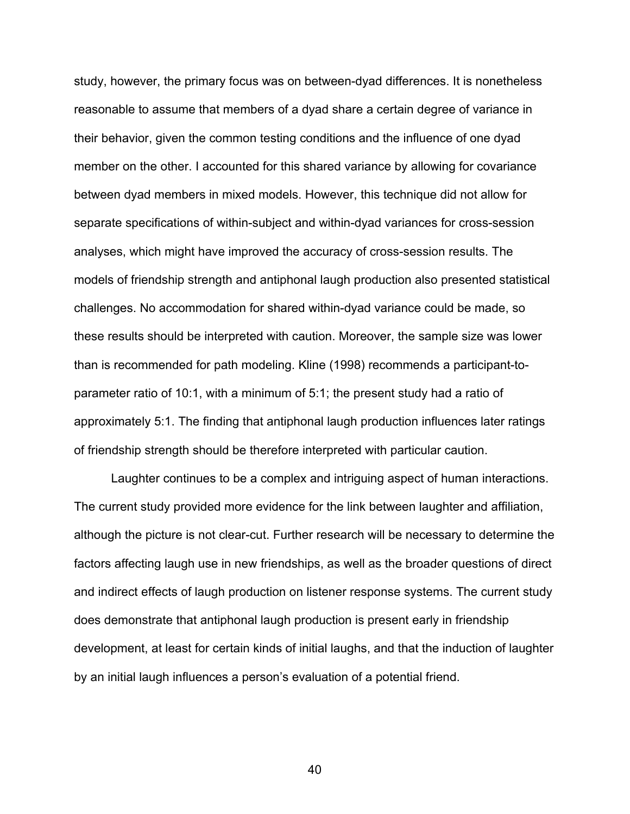study, however, the primary focus was on between-dyad differences. It is nonetheless reasonable to assume that members of a dyad share a certain degree of variance in their behavior, given the common testing conditions and the influence of one dyad member on the other. I accounted for this shared variance by allowing for covariance between dyad members in mixed models. However, this technique did not allow for separate specifications of within-subject and within-dyad variances for cross-session analyses, which might have improved the accuracy of cross-session results. The models of friendship strength and antiphonal laugh production also presented statistical challenges. No accommodation for shared within-dyad variance could be made, so these results should be interpreted with caution. Moreover, the sample size was lower than is recommended for path modeling. Kline (1998) recommends a participant-toparameter ratio of 10:1, with a minimum of 5:1; the present study had a ratio of approximately 5:1. The finding that antiphonal laugh production influences later ratings of friendship strength should be therefore interpreted with particular caution.

Laughter continues to be a complex and intriguing aspect of human interactions. The current study provided more evidence for the link between laughter and affiliation, although the picture is not clear-cut. Further research will be necessary to determine the factors affecting laugh use in new friendships, as well as the broader questions of direct and indirect effects of laugh production on listener response systems. The current study does demonstrate that antiphonal laugh production is present early in friendship development, at least for certain kinds of initial laughs, and that the induction of laughter by an initial laugh influences a person's evaluation of a potential friend.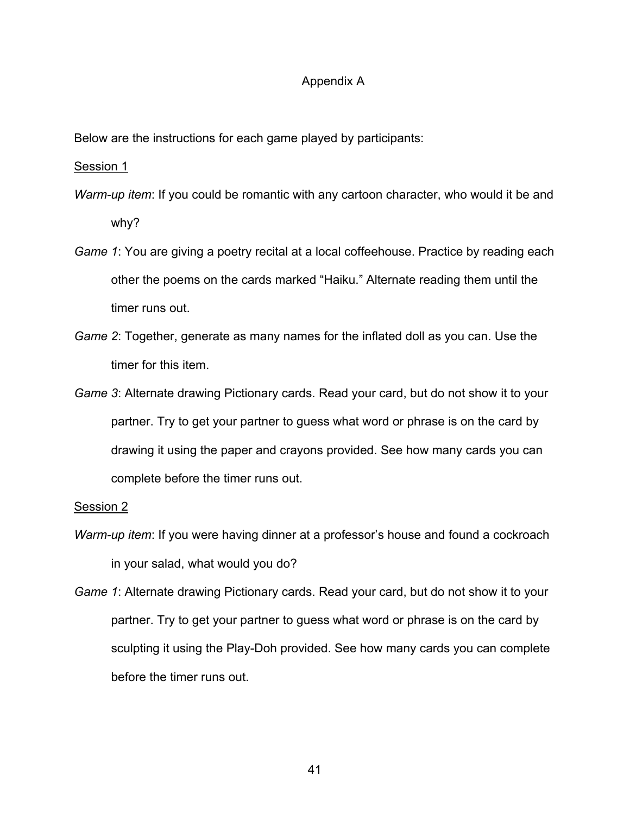#### Appendix A

Below are the instructions for each game played by participants:

Session 1

- *Warm-up item*: If you could be romantic with any cartoon character, who would it be and why?
- *Game 1*: You are giving a poetry recital at a local coffeehouse. Practice by reading each other the poems on the cards marked "Haiku." Alternate reading them until the timer runs out.
- *Game 2*: Together, generate as many names for the inflated doll as you can. Use the timer for this item.
- *Game 3*: Alternate drawing Pictionary cards. Read your card, but do not show it to your partner. Try to get your partner to guess what word or phrase is on the card by drawing it using the paper and crayons provided. See how many cards you can complete before the timer runs out.

#### Session 2

- *Warm-up item*: If you were having dinner at a professor's house and found a cockroach in your salad, what would you do?
- *Game 1*: Alternate drawing Pictionary cards. Read your card, but do not show it to your partner. Try to get your partner to guess what word or phrase is on the card by sculpting it using the Play-Doh provided. See how many cards you can complete before the timer runs out.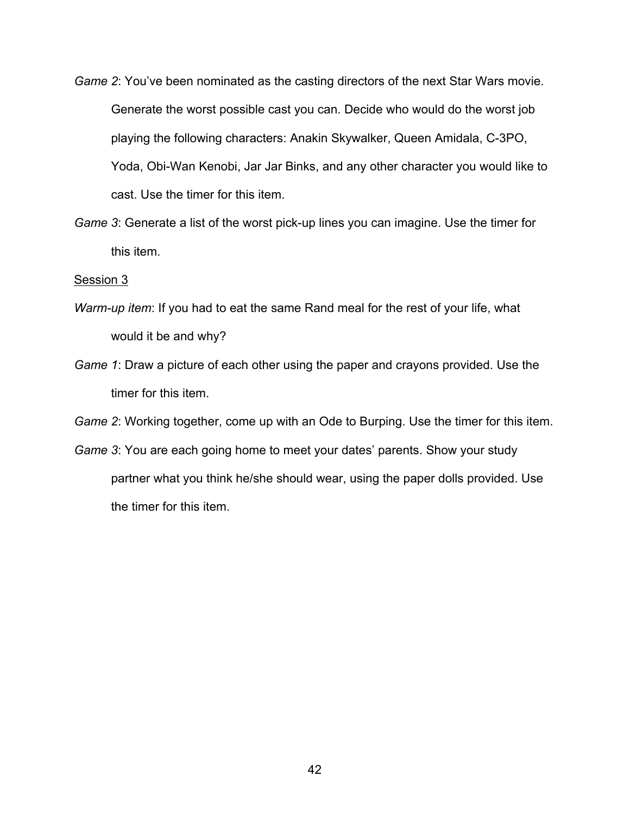- *Game 2*: You've been nominated as the casting directors of the next Star Wars movie. Generate the worst possible cast you can. Decide who would do the worst job playing the following characters: Anakin Skywalker, Queen Amidala, C-3PO, Yoda, Obi-Wan Kenobi, Jar Jar Binks, and any other character you would like to cast. Use the timer for this item.
- *Game 3*: Generate a list of the worst pick-up lines you can imagine. Use the timer for this item.

#### Session 3

- *Warm-up item*: If you had to eat the same Rand meal for the rest of your life, what would it be and why?
- *Game 1*: Draw a picture of each other using the paper and crayons provided. Use the timer for this item.

*Game 2*: Working together, come up with an Ode to Burping. Use the timer for this item.

*Game 3*: You are each going home to meet your dates' parents. Show your study partner what you think he/she should wear, using the paper dolls provided. Use the timer for this item.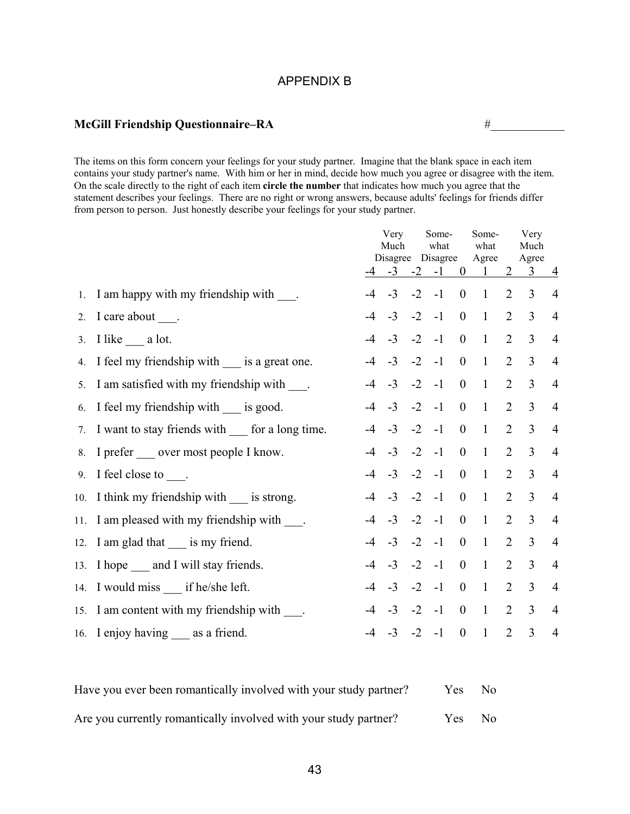#### APPENDIX B

## **McGill Friendship Questionnaire–RA** #  $\#$

The items on this form concern your feelings for your study partner. Imagine that the blank space in each item contains your study partner's name. With him or her in mind, decide how much you agree or disagree with the item. On the scale directly to the right of each item **circle the number** that indicates how much you agree that the statement describes your feelings. There are no right or wrong answers, because adults' feelings for friends differ from person to person. Just honestly describe your feelings for your study partner.

|                                                      |      | Very<br>Much |      | Some-<br>what     |                  | Some-<br>what  |                | Very<br>Much                  |                |
|------------------------------------------------------|------|--------------|------|-------------------|------------------|----------------|----------------|-------------------------------|----------------|
|                                                      |      |              |      | Disagree Disagree |                  | Agree          |                | Agree                         |                |
|                                                      |      |              |      |                   |                  |                |                | $-4$ $-3$ $-2$ $-1$ 0 1 2 3 4 |                |
| 1. I am happy with my friendship with ____.          |      | $-4$ $-3$    |      | $-2 - 1$          | $\mathbf{0}$     | $\overline{1}$ | 2              | $\overline{3}$                | $\overline{4}$ |
| 2. I care about ____.                                | $-4$ | $-3$         |      | $-2$ $-1$         | $\boldsymbol{0}$ | $\overline{1}$ | 2              | $\overline{3}$                | $\overline{4}$ |
| 3. I like $\_\_\_\$ a lot.                           |      | $-4$ $-3$    |      | $-2 - 1$          | $\overline{0}$   | $\overline{1}$ | 2              | $\overline{3}$                | $\overline{4}$ |
| 4. I feel my friendship with ____ is a great one.    |      | $-4$ $-3$    |      | $-2$ $-1$         | $\boldsymbol{0}$ | $\overline{1}$ | $\overline{2}$ | $\overline{3}$                | $\overline{4}$ |
| 5. I am satisfied with my friendship with .          |      | $-4$ $-3$    |      | $-2$ $-1$         | $\overline{0}$   | $\overline{1}$ | $\overline{2}$ | $\overline{3}$                | $\overline{4}$ |
| 6. I feel my friendship with __ is good.             |      | $-4$ $-3$    |      | $-2$ $-1$         | $\mathbf{0}$     | $\overline{1}$ | 2              | $\overline{3}$                | $\overline{4}$ |
| 7. I want to stay friends with ____ for a long time. |      | $-4$ $-3$    |      | $-2 - 1$          | $\overline{0}$   | $\mathbf{1}$   | $\overline{2}$ | $\overline{3}$                | $\overline{4}$ |
| 8. I prefer ____ over most people I know.            | $-4$ | $-3$         |      | $-2$ $-1$         | $\boldsymbol{0}$ | $\mathbf{1}$   | $\overline{2}$ | $\overline{3}$                | $\overline{4}$ |
| 9. I feel close to $\_\_$ .                          |      | $-4$ $-3$    |      | $-2 - 1$          | $\boldsymbol{0}$ | $\mathbf{1}$   | 2              | $\overline{3}$                | $\overline{4}$ |
| 10. I think my friendship with ____ is strong.       |      | $-4$ $-3$    |      | $-2$ $-1$         | $\boldsymbol{0}$ | $\overline{1}$ | 2              | $\overline{3}$                | $\overline{4}$ |
| 11. I am pleased with my friendship with ____.       | $-4$ | $-3$         |      | $-2 - 1$          | $\mathbf{0}$     | $\overline{1}$ | 2              | $\overline{3}$                | $\overline{4}$ |
| 12. I am glad that ___ is my friend.                 | $-4$ | $-3$         | $-2$ | $-1$              | $\boldsymbol{0}$ | $\overline{1}$ | 2              | $\overline{3}$                | $\overline{4}$ |
| 13. I hope _____ and I will stay friends.            | $-4$ | $-3$         | $-2$ | $-1$              | $\overline{0}$   | $\overline{1}$ | 2              | $\overline{3}$                | $\overline{4}$ |
| 14. I would miss ___ if he/she left.                 |      | $-4$ $-3$    | $-2$ | $-1$              | $\overline{0}$   | $\overline{1}$ | 2              | $\overline{3}$                | $\overline{4}$ |
| 15. I am content with my friendship with ____.       | $-4$ | $-3$         | $-2$ | $-1$              | $\overline{0}$   | $\overline{1}$ | 2              | $\overline{3}$                | $\overline{4}$ |
| 16. I enjoy having ___ as a friend.                  |      | $-3$         | $-2$ | $-1$              | $\boldsymbol{0}$ | $\mathbf{1}$   | $\overline{2}$ | $\overline{3}$                | $\overline{4}$ |

| Have you ever been romantically involved with your study partner? | Yes. | No. |
|-------------------------------------------------------------------|------|-----|
| Are you currently romantically involved with your study partner?  | Yes. | No. |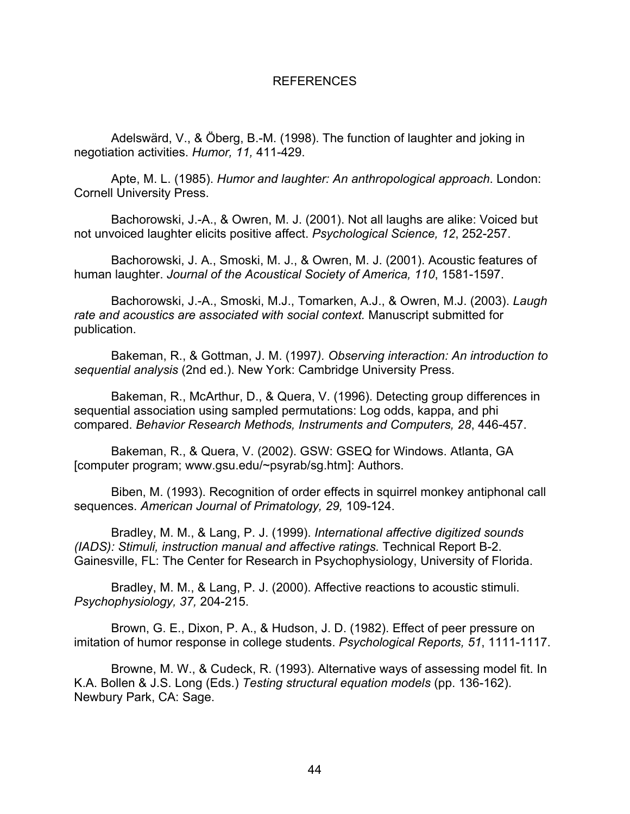#### REFERENCES

Adelswärd, V., & Öberg, B.-M. (1998). The function of laughter and joking in negotiation activities. *Humor, 11,* 411-429.

Apte, M. L. (1985). *Humor and laughter: An anthropological approach*. London: Cornell University Press.

Bachorowski, J.-A., & Owren, M. J. (2001). Not all laughs are alike: Voiced but not unvoiced laughter elicits positive affect. *Psychological Science, 12*, 252-257.

Bachorowski, J. A., Smoski, M. J., & Owren, M. J. (2001). Acoustic features of human laughter. *Journal of the Acoustical Society of America, 110*, 1581-1597.

Bachorowski, J.-A., Smoski, M.J., Tomarken, A.J., & Owren, M.J. (2003). *Laugh rate and acoustics are associated with social context.* Manuscript submitted for publication.

Bakeman, R., & Gottman, J. M. (1997*). Observing interaction: An introduction to sequential analysis* (2nd ed.). New York: Cambridge University Press.

Bakeman, R., McArthur, D., & Quera, V. (1996). Detecting group differences in sequential association using sampled permutations: Log odds, kappa, and phi compared. *Behavior Research Methods, Instruments and Computers, 28*, 446-457.

Bakeman, R., & Quera, V. (2002). GSW: GSEQ for Windows. Atlanta, GA [computer program; www.gsu.edu/~psyrab/sg.htm]: Authors.

Biben, M. (1993). Recognition of order effects in squirrel monkey antiphonal call sequences. *American Journal of Primatology, 29,* 109-124.

Bradley, M. M., & Lang, P. J. (1999). *International affective digitized sounds (IADS): Stimuli, instruction manual and affective ratings.* Technical Report B-2. Gainesville, FL: The Center for Research in Psychophysiology, University of Florida.

Bradley, M. M., & Lang, P. J. (2000). Affective reactions to acoustic stimuli. *Psychophysiology, 37,* 204-215.

Brown, G. E., Dixon, P. A., & Hudson, J. D. (1982). Effect of peer pressure on imitation of humor response in college students. *Psychological Reports, 51*, 1111-1117.

Browne, M. W., & Cudeck, R. (1993). Alternative ways of assessing model fit. In K.A. Bollen & J.S. Long (Eds.) *Testing structural equation models* (pp. 136-162). Newbury Park, CA: Sage.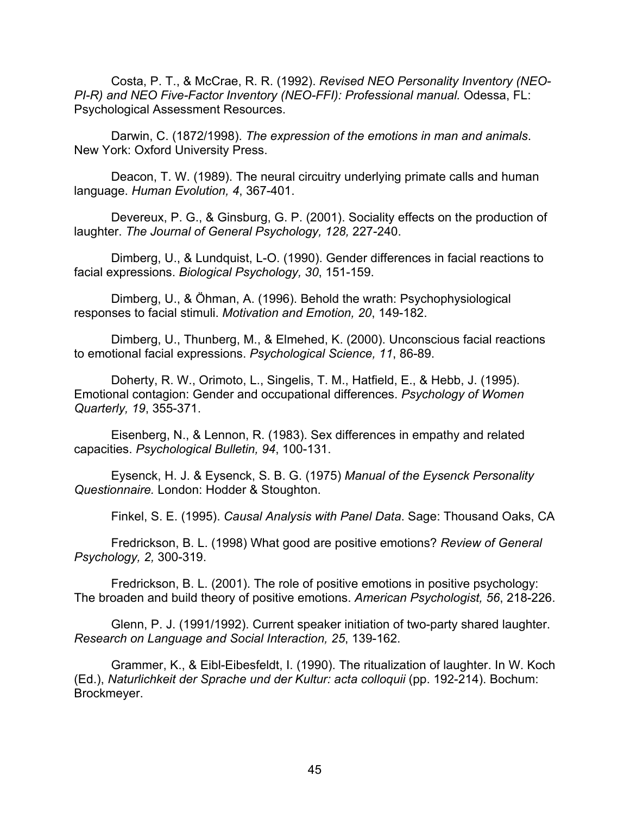Costa, P. T., & McCrae, R. R. (1992). *Revised NEO Personality Inventory (NEO-PI-R) and NEO Five-Factor Inventory (NEO-FFI): Professional manual.* Odessa, FL: Psychological Assessment Resources.

Darwin, C. (1872/1998). *The expression of the emotions in man and animals*. New York: Oxford University Press.

Deacon, T. W. (1989). The neural circuitry underlying primate calls and human language. *Human Evolution, 4*, 367-401.

Devereux, P. G., & Ginsburg, G. P. (2001). Sociality effects on the production of laughter. *The Journal of General Psychology, 128,* 227-240.

Dimberg, U., & Lundquist, L-O. (1990). Gender differences in facial reactions to facial expressions. *Biological Psychology, 30*, 151-159.

Dimberg, U., & Öhman, A. (1996). Behold the wrath: Psychophysiological responses to facial stimuli. *Motivation and Emotion, 20*, 149-182.

Dimberg, U., Thunberg, M., & Elmehed, K. (2000). Unconscious facial reactions to emotional facial expressions. *Psychological Science, 11*, 86-89.

Doherty, R. W., Orimoto, L., Singelis, T. M., Hatfield, E., & Hebb, J. (1995). Emotional contagion: Gender and occupational differences. *Psychology of Women Quarterly, 19*, 355-371.

Eisenberg, N., & Lennon, R. (1983). Sex differences in empathy and related capacities. *Psychological Bulletin, 94*, 100-131.

Eysenck, H. J. & Eysenck, S. B. G. (1975) *Manual of the Eysenck Personality Questionnaire.* London: Hodder & Stoughton.

Finkel, S. E. (1995). *Causal Analysis with Panel Data*. Sage: Thousand Oaks, CA

Fredrickson, B. L. (1998) What good are positive emotions? *Review of General Psychology, 2,* 300-319.

Fredrickson, B. L. (2001). The role of positive emotions in positive psychology: The broaden and build theory of positive emotions. *American Psychologist, 56*, 218-226.

Glenn, P. J. (1991/1992). Current speaker initiation of two-party shared laughter. *Research on Language and Social Interaction, 25*, 139-162.

Grammer, K., & Eibl-Eibesfeldt, I. (1990). The ritualization of laughter. In W. Koch (Ed.), *Naturlichkeit der Sprache und der Kultur: acta colloquii* (pp. 192-214). Bochum: Brockmeyer.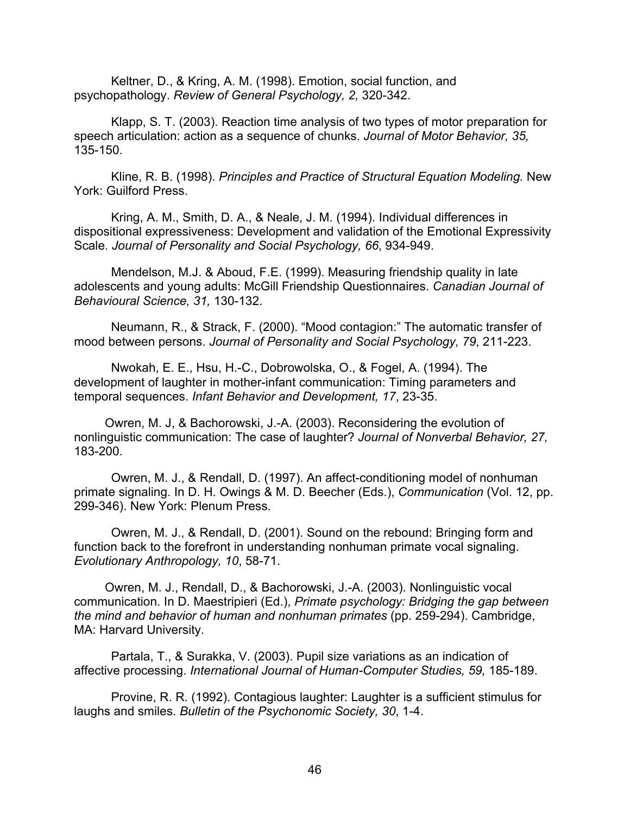Keltner, D., & Kring, A. M. (1998). Emotion, social function, and psychopathology. *Review of General Psychology, 2,* 320-342.

Klapp, S. T. (2003). Reaction time analysis of two types of motor preparation for speech articulation: action as a sequence of chunks. *Journal of Motor Behavior, 35,* 135-150.

Kline, R. B. (1998). *Principles and Practice of Structural Equation Modeling.* New York: Guilford Press.

Kring, A. M., Smith, D. A., & Neale, J. M. (1994). Individual differences in dispositional expressiveness: Development and validation of the Emotional Expressivity Scale. *Journal of Personality and Social Psychology, 66*, 934-949.

Mendelson, M.J. & Aboud, F.E. (1999). Measuring friendship quality in late adolescents and young adults: McGill Friendship Questionnaires. *Canadian Journal of Behavioural Science, 31,* 130-132.

Neumann, R., & Strack, F. (2000). "Mood contagion:" The automatic transfer of mood between persons. *Journal of Personality and Social Psychology, 79*, 211-223.

Nwokah, E. E., Hsu, H.-C., Dobrowolska, O., & Fogel, A. (1994). The development of laughter in mother-infant communication: Timing parameters and temporal sequences. *Infant Behavior and Development, 17*, 23-35.

Owren, M. J, & Bachorowski, J.-A. (2003). Reconsidering the evolution of nonlinguistic communication: The case of laughter? *Journal of Nonverbal Behavior, 27,* 183-200.

Owren, M. J., & Rendall, D. (1997). An affect-conditioning model of nonhuman primate signaling. In D. H. Owings & M. D. Beecher (Eds.), *Communication* (Vol. 12, pp. 299-346). New York: Plenum Press.

Owren, M. J., & Rendall, D. (2001). Sound on the rebound: Bringing form and function back to the forefront in understanding nonhuman primate vocal signaling. *Evolutionary Anthropology, 10*, 58-71.

Owren, M. J., Rendall, D., & Bachorowski, J.-A. (2003). Nonlinguistic vocal communication. In D. Maestripieri (Ed.), *Primate psychology: Bridging the gap between the mind and behavior of human and nonhuman primates* (pp. 259-294). Cambridge, MA: Harvard University.

Partala, T., & Surakka, V. (2003). Pupil size variations as an indication of affective processing. *International Journal of Human-Computer Studies, 59,* 185-189.

Provine, R. R. (1992). Contagious laughter: Laughter is a sufficient stimulus for laughs and smiles. *Bulletin of the Psychonomic Society, 30*, 1-4.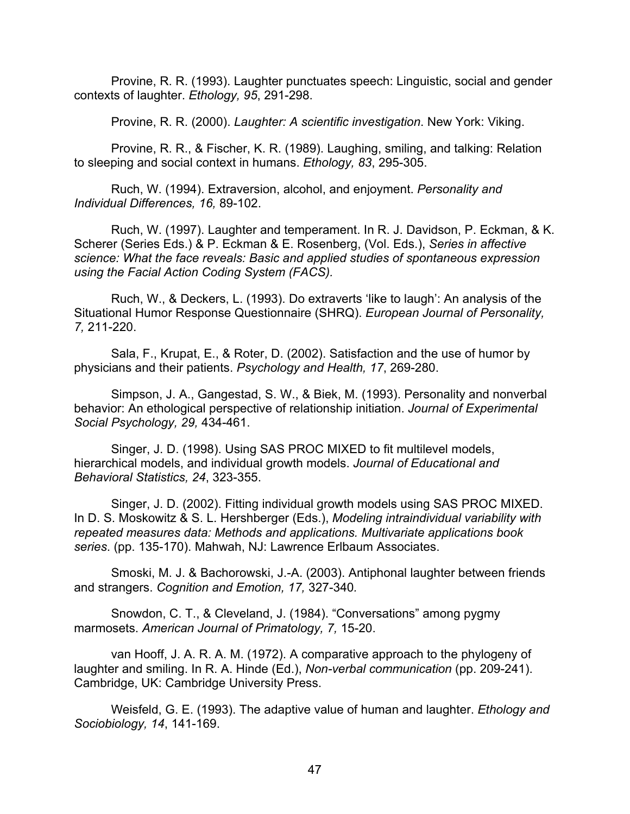Provine, R. R. (1993). Laughter punctuates speech: Linguistic, social and gender contexts of laughter. *Ethology, 95*, 291-298.

Provine, R. R. (2000). *Laughter: A scientific investigation*. New York: Viking.

Provine, R. R., & Fischer, K. R. (1989). Laughing, smiling, and talking: Relation to sleeping and social context in humans. *Ethology, 83*, 295-305.

Ruch, W. (1994). Extraversion, alcohol, and enjoyment. *Personality and Individual Differences, 16,* 89-102.

Ruch, W. (1997). Laughter and temperament. In R. J. Davidson, P. Eckman, & K. Scherer (Series Eds.) & P. Eckman & E. Rosenberg, (Vol. Eds.), *Series in affective science: What the face reveals: Basic and applied studies of spontaneous expression using the Facial Action Coding System (FACS).*

Ruch, W., & Deckers, L. (1993). Do extraverts 'like to laugh': An analysis of the Situational Humor Response Questionnaire (SHRQ). *European Journal of Personality, 7,* 211-220.

Sala, F., Krupat, E., & Roter, D. (2002). Satisfaction and the use of humor by physicians and their patients. *Psychology and Health, 17*, 269-280.

Simpson, J. A., Gangestad, S. W., & Biek, M. (1993). Personality and nonverbal behavior: An ethological perspective of relationship initiation. *Journal of Experimental Social Psychology, 29,* 434-461.

Singer, J. D. (1998). Using SAS PROC MIXED to fit multilevel models, hierarchical models, and individual growth models. *Journal of Educational and Behavioral Statistics, 24*, 323-355.

Singer, J. D. (2002). Fitting individual growth models using SAS PROC MIXED. In D. S. Moskowitz & S. L. Hershberger (Eds.), *Modeling intraindividual variability with repeated measures data: Methods and applications. Multivariate applications book series*. (pp. 135-170). Mahwah, NJ: Lawrence Erlbaum Associates.

Smoski, M. J. & Bachorowski, J.-A. (2003). Antiphonal laughter between friends and strangers. *Cognition and Emotion, 17,* 327-340*.*

Snowdon, C. T., & Cleveland, J. (1984). "Conversations" among pygmy marmosets. *American Journal of Primatology, 7,* 15-20.

van Hooff, J. A. R. A. M. (1972). A comparative approach to the phylogeny of laughter and smiling. In R. A. Hinde (Ed.), *Non-verbal communication* (pp. 209-241). Cambridge, UK: Cambridge University Press.

Weisfeld, G. E. (1993). The adaptive value of human and laughter. *Ethology and Sociobiology, 14*, 141-169.